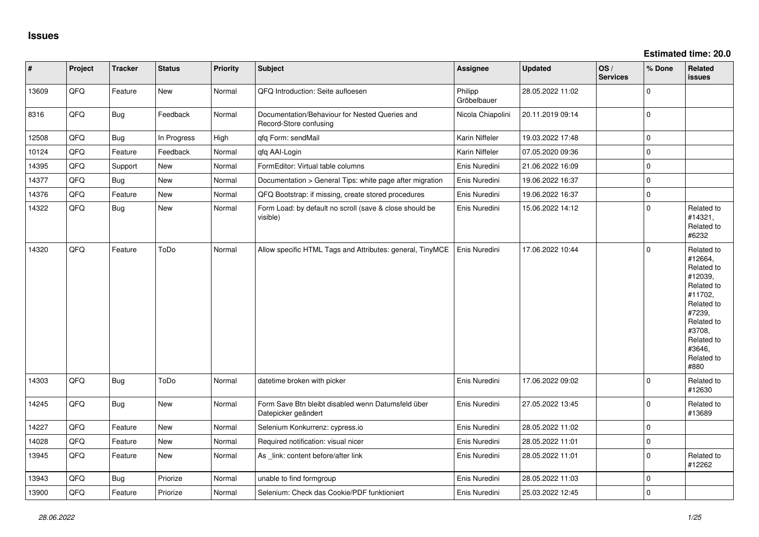| $\vert$ # | Project | <b>Tracker</b> | <b>Status</b> | Priority | Subject                                                                   | <b>Assignee</b>        | <b>Updated</b>   | OS/<br><b>Services</b> | % Done      | Related<br><b>issues</b>                                                                                                                                              |
|-----------|---------|----------------|---------------|----------|---------------------------------------------------------------------------|------------------------|------------------|------------------------|-------------|-----------------------------------------------------------------------------------------------------------------------------------------------------------------------|
| 13609     | QFQ     | Feature        | New           | Normal   | QFQ Introduction: Seite aufloesen                                         | Philipp<br>Gröbelbauer | 28.05.2022 11:02 |                        | 0           |                                                                                                                                                                       |
| 8316      | QFQ     | Bug            | Feedback      | Normal   | Documentation/Behaviour for Nested Queries and<br>Record-Store confusing  | Nicola Chiapolini      | 20.11.2019 09:14 |                        | $\Omega$    |                                                                                                                                                                       |
| 12508     | QFQ     | Bug            | In Progress   | High     | qfq Form: sendMail                                                        | Karin Niffeler         | 19.03.2022 17:48 |                        | $\Omega$    |                                                                                                                                                                       |
| 10124     | QFQ     | Feature        | Feedback      | Normal   | qfq AAI-Login                                                             | Karin Niffeler         | 07.05.2020 09:36 |                        | 0           |                                                                                                                                                                       |
| 14395     | QFQ     | Support        | <b>New</b>    | Normal   | FormEditor: Virtual table columns                                         | Enis Nuredini          | 21.06.2022 16:09 |                        | $\mathbf 0$ |                                                                                                                                                                       |
| 14377     | QFQ     | Bug            | <b>New</b>    | Normal   | Documentation > General Tips: white page after migration                  | Enis Nuredini          | 19.06.2022 16:37 |                        | $\mathbf 0$ |                                                                                                                                                                       |
| 14376     | QFQ     | Feature        | <b>New</b>    | Normal   | QFQ Bootstrap: if missing, create stored procedures                       | Enis Nuredini          | 19.06.2022 16:37 |                        | $\Omega$    |                                                                                                                                                                       |
| 14322     | QFQ     | Bug            | New           | Normal   | Form Load: by default no scroll (save & close should be<br>visible)       | Enis Nuredini          | 15.06.2022 14:12 |                        | $\Omega$    | Related to<br>#14321,<br>Related to<br>#6232                                                                                                                          |
| 14320     | QFQ     | Feature        | ToDo          | Normal   | Allow specific HTML Tags and Attributes: general, TinyMCE                 | Enis Nuredini          | 17.06.2022 10:44 |                        | $\Omega$    | Related to<br>#12664,<br>Related to<br>#12039,<br>Related to<br>#11702,<br>Related to<br>#7239,<br>Related to<br>#3708,<br>Related to<br>#3646,<br>Related to<br>#880 |
| 14303     | QFQ     | Bug            | ToDo          | Normal   | datetime broken with picker                                               | Enis Nuredini          | 17.06.2022 09:02 |                        | 0           | Related to<br>#12630                                                                                                                                                  |
| 14245     | QFQ     | Bug            | New           | Normal   | Form Save Btn bleibt disabled wenn Datumsfeld über<br>Datepicker geändert | Enis Nuredini          | 27.05.2022 13:45 |                        | $\Omega$    | Related to<br>#13689                                                                                                                                                  |
| 14227     | QFQ     | Feature        | <b>New</b>    | Normal   | Selenium Konkurrenz: cypress.io                                           | Enis Nuredini          | 28.05.2022 11:02 |                        | 0           |                                                                                                                                                                       |
| 14028     | QFQ     | Feature        | <b>New</b>    | Normal   | Required notification: visual nicer                                       | Enis Nuredini          | 28.05.2022 11:01 |                        | $\Omega$    |                                                                                                                                                                       |
| 13945     | QFQ     | Feature        | New           | Normal   | As _link: content before/after link                                       | Enis Nuredini          | 28.05.2022 11:01 |                        | $\Omega$    | Related to<br>#12262                                                                                                                                                  |
| 13943     | QFQ     | <b>Bug</b>     | Priorize      | Normal   | unable to find formgroup                                                  | Enis Nuredini          | 28.05.2022 11:03 |                        | 0           |                                                                                                                                                                       |
| 13900     | QFQ     | Feature        | Priorize      | Normal   | Selenium: Check das Cookie/PDF funktioniert                               | Enis Nuredini          | 25.03.2022 12:45 |                        | $\Omega$    |                                                                                                                                                                       |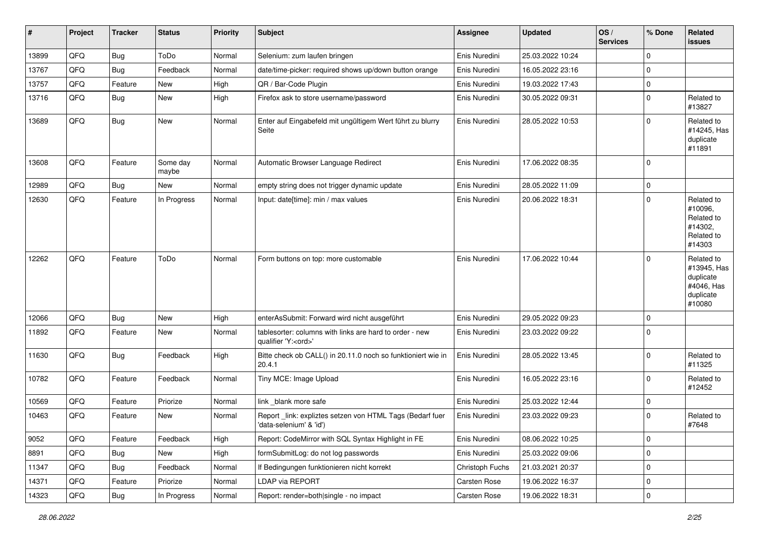| #     | Project | <b>Tracker</b> | <b>Status</b>     | <b>Priority</b> | <b>Subject</b>                                                                        | <b>Assignee</b> | <b>Updated</b>   | OS/<br><b>Services</b> | % Done      | Related<br>issues                                                           |
|-------|---------|----------------|-------------------|-----------------|---------------------------------------------------------------------------------------|-----------------|------------------|------------------------|-------------|-----------------------------------------------------------------------------|
| 13899 | QFQ     | <b>Bug</b>     | ToDo              | Normal          | Selenium: zum laufen bringen                                                          | Enis Nuredini   | 25.03.2022 10:24 |                        | $\mathbf 0$ |                                                                             |
| 13767 | QFQ     | Bug            | Feedback          | Normal          | date/time-picker: required shows up/down button orange                                | Enis Nuredini   | 16.05.2022 23:16 |                        | $\mathbf 0$ |                                                                             |
| 13757 | QFQ     | Feature        | New               | High            | QR / Bar-Code Plugin                                                                  | Enis Nuredini   | 19.03.2022 17:43 |                        | $\mathbf 0$ |                                                                             |
| 13716 | QFQ     | Bug            | New               | High            | Firefox ask to store username/password                                                | Enis Nuredini   | 30.05.2022 09:31 |                        | $\mathbf 0$ | Related to<br>#13827                                                        |
| 13689 | QFQ     | Bug            | <b>New</b>        | Normal          | Enter auf Eingabefeld mit ungültigem Wert führt zu blurry<br>Seite                    | Enis Nuredini   | 28.05.2022 10:53 |                        | $\mathbf 0$ | Related to<br>#14245, Has<br>duplicate<br>#11891                            |
| 13608 | QFQ     | Feature        | Some day<br>maybe | Normal          | Automatic Browser Language Redirect                                                   | Enis Nuredini   | 17.06.2022 08:35 |                        | 0           |                                                                             |
| 12989 | QFQ     | <b>Bug</b>     | <b>New</b>        | Normal          | empty string does not trigger dynamic update                                          | Enis Nuredini   | 28.05.2022 11:09 |                        | $\mathbf 0$ |                                                                             |
| 12630 | QFQ     | Feature        | In Progress       | Normal          | Input: date[time]: min / max values                                                   | Enis Nuredini   | 20.06.2022 18:31 |                        | $\mathbf 0$ | Related to<br>#10096,<br>Related to<br>#14302.<br>Related to<br>#14303      |
| 12262 | QFQ     | Feature        | ToDo              | Normal          | Form buttons on top: more customable                                                  | Enis Nuredini   | 17.06.2022 10:44 |                        | $\mathbf 0$ | Related to<br>#13945, Has<br>duplicate<br>#4046, Has<br>duplicate<br>#10080 |
| 12066 | QFQ     | Bug            | <b>New</b>        | High            | enterAsSubmit: Forward wird nicht ausgeführt                                          | Enis Nuredini   | 29.05.2022 09:23 |                        | 0           |                                                                             |
| 11892 | QFQ     | Feature        | New               | Normal          | tablesorter: columns with links are hard to order - new<br>qualifier 'Y: <ord>'</ord> | Enis Nuredini   | 23.03.2022 09:22 |                        | $\Omega$    |                                                                             |
| 11630 | QFQ     | Bug            | Feedback          | High            | Bitte check ob CALL() in 20.11.0 noch so funktioniert wie in<br>20.4.1                | Enis Nuredini   | 28.05.2022 13:45 |                        | $\mathbf 0$ | Related to<br>#11325                                                        |
| 10782 | QFQ     | Feature        | Feedback          | Normal          | Tiny MCE: Image Upload                                                                | Enis Nuredini   | 16.05.2022 23:16 |                        | $\mathbf 0$ | Related to<br>#12452                                                        |
| 10569 | QFQ     | Feature        | Priorize          | Normal          | link blank more safe                                                                  | Enis Nuredini   | 25.03.2022 12:44 |                        | 0           |                                                                             |
| 10463 | QFQ     | Feature        | New               | Normal          | Report link: expliztes setzen von HTML Tags (Bedarf fuer<br>'data-selenium' & 'id')   | Enis Nuredini   | 23.03.2022 09:23 |                        | $\mathbf 0$ | Related to<br>#7648                                                         |
| 9052  | QFQ     | Feature        | Feedback          | High            | Report: CodeMirror with SQL Syntax Highlight in FE                                    | Enis Nuredini   | 08.06.2022 10:25 |                        | $\pmb{0}$   |                                                                             |
| 8891  | QFQ     | <b>Bug</b>     | New               | High            | formSubmitLog: do not log passwords                                                   | Enis Nuredini   | 25.03.2022 09:06 |                        | $\mathbf 0$ |                                                                             |
| 11347 | QFQ     | <b>Bug</b>     | Feedback          | Normal          | If Bedingungen funktionieren nicht korrekt                                            | Christoph Fuchs | 21.03.2021 20:37 |                        | $\pmb{0}$   |                                                                             |
| 14371 | QFQ     | Feature        | Priorize          | Normal          | LDAP via REPORT                                                                       | Carsten Rose    | 19.06.2022 16:37 |                        | $\mathbf 0$ |                                                                             |
| 14323 | QFQ     | Bug            | In Progress       | Normal          | Report: render=both single - no impact                                                | Carsten Rose    | 19.06.2022 18:31 |                        | $\pmb{0}$   |                                                                             |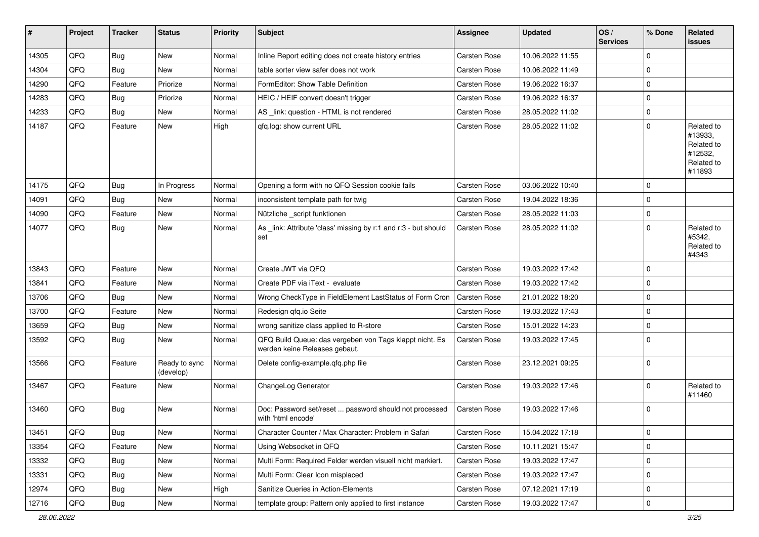| #     | Project | <b>Tracker</b> | <b>Status</b>              | <b>Priority</b> | <b>Subject</b>                                                                           | <b>Assignee</b>     | <b>Updated</b>   | OS/<br><b>Services</b> | % Done      | Related<br><b>issues</b>                                               |
|-------|---------|----------------|----------------------------|-----------------|------------------------------------------------------------------------------------------|---------------------|------------------|------------------------|-------------|------------------------------------------------------------------------|
| 14305 | QFQ     | Bug            | <b>New</b>                 | Normal          | Inline Report editing does not create history entries                                    | Carsten Rose        | 10.06.2022 11:55 |                        | $\mathbf 0$ |                                                                        |
| 14304 | QFQ     | Bug            | <b>New</b>                 | Normal          | table sorter view safer does not work                                                    | Carsten Rose        | 10.06.2022 11:49 |                        | $\mathbf 0$ |                                                                        |
| 14290 | QFQ     | Feature        | Priorize                   | Normal          | FormEditor: Show Table Definition                                                        | Carsten Rose        | 19.06.2022 16:37 |                        | $\mathbf 0$ |                                                                        |
| 14283 | QFQ     | Bug            | Priorize                   | Normal          | HEIC / HEIF convert doesn't trigger                                                      | Carsten Rose        | 19.06.2022 16:37 |                        | $\mathbf 0$ |                                                                        |
| 14233 | QFQ     | Bug            | New                        | Normal          | AS _link: question - HTML is not rendered                                                | Carsten Rose        | 28.05.2022 11:02 |                        | $\mathbf 0$ |                                                                        |
| 14187 | QFQ     | Feature        | New                        | High            | qfq.log: show current URL                                                                | Carsten Rose        | 28.05.2022 11:02 |                        | $\mathbf 0$ | Related to<br>#13933,<br>Related to<br>#12532,<br>Related to<br>#11893 |
| 14175 | QFQ     | <b>Bug</b>     | In Progress                | Normal          | Opening a form with no QFQ Session cookie fails                                          | Carsten Rose        | 03.06.2022 10:40 |                        | $\mathbf 0$ |                                                                        |
| 14091 | QFQ     | Bug            | New                        | Normal          | inconsistent template path for twig                                                      | Carsten Rose        | 19.04.2022 18:36 |                        | $\mathbf 0$ |                                                                        |
| 14090 | QFQ     | Feature        | <b>New</b>                 | Normal          | Nützliche _script funktionen                                                             | Carsten Rose        | 28.05.2022 11:03 |                        | $\mathbf 0$ |                                                                        |
| 14077 | QFQ     | Bug            | <b>New</b>                 | Normal          | As _link: Attribute 'class' missing by r:1 and r:3 - but should<br>set                   | Carsten Rose        | 28.05.2022 11:02 |                        | $\Omega$    | Related to<br>#5342,<br>Related to<br>#4343                            |
| 13843 | QFQ     | Feature        | <b>New</b>                 | Normal          | Create JWT via QFQ                                                                       | Carsten Rose        | 19.03.2022 17:42 |                        | $\mathbf 0$ |                                                                        |
| 13841 | QFQ     | Feature        | New                        | Normal          | Create PDF via iText - evaluate                                                          | <b>Carsten Rose</b> | 19.03.2022 17:42 |                        | $\mathbf 0$ |                                                                        |
| 13706 | QFQ     | <b>Bug</b>     | <b>New</b>                 | Normal          | Wrong CheckType in FieldElement LastStatus of Form Cron                                  | Carsten Rose        | 21.01.2022 18:20 |                        | 0           |                                                                        |
| 13700 | QFQ     | Feature        | <b>New</b>                 | Normal          | Redesign gfg.io Seite                                                                    | Carsten Rose        | 19.03.2022 17:43 |                        | $\mathbf 0$ |                                                                        |
| 13659 | QFQ     | Bug            | <b>New</b>                 | Normal          | wrong sanitize class applied to R-store                                                  | Carsten Rose        | 15.01.2022 14:23 |                        | 0           |                                                                        |
| 13592 | QFQ     | Bug            | <b>New</b>                 | Normal          | QFQ Build Queue: das vergeben von Tags klappt nicht. Es<br>werden keine Releases gebaut. | Carsten Rose        | 19.03.2022 17:45 |                        | $\mathbf 0$ |                                                                        |
| 13566 | QFQ     | Feature        | Ready to sync<br>(develop) | Normal          | Delete config-example.qfq.php file                                                       | Carsten Rose        | 23.12.2021 09:25 |                        | $\mathbf 0$ |                                                                        |
| 13467 | QFQ     | Feature        | <b>New</b>                 | Normal          | ChangeLog Generator                                                                      | Carsten Rose        | 19.03.2022 17:46 |                        | $\mathbf 0$ | Related to<br>#11460                                                   |
| 13460 | QFQ     | Bug            | New                        | Normal          | Doc: Password set/reset  password should not processed<br>with 'html encode'             | Carsten Rose        | 19.03.2022 17:46 |                        | $\mathbf 0$ |                                                                        |
| 13451 | QFQ     | <b>Bug</b>     | New                        | Normal          | Character Counter / Max Character: Problem in Safari                                     | Carsten Rose        | 15.04.2022 17:18 |                        | $\mathbf 0$ |                                                                        |
| 13354 | QFQ     | Feature        | <b>New</b>                 | Normal          | Using Websocket in QFQ                                                                   | Carsten Rose        | 10.11.2021 15:47 |                        | $\pmb{0}$   |                                                                        |
| 13332 | QFQ     | Bug            | New                        | Normal          | Multi Form: Required Felder werden visuell nicht markiert.                               | Carsten Rose        | 19.03.2022 17:47 |                        | $\mathbf 0$ |                                                                        |
| 13331 | QFQ     | <b>Bug</b>     | New                        | Normal          | Multi Form: Clear Icon misplaced                                                         | Carsten Rose        | 19.03.2022 17:47 |                        | 0           |                                                                        |
| 12974 | QFQ     | <b>Bug</b>     | New                        | High            | Sanitize Queries in Action-Elements                                                      | Carsten Rose        | 07.12.2021 17:19 |                        | $\pmb{0}$   |                                                                        |
| 12716 | QFQ     | Bug            | New                        | Normal          | template group: Pattern only applied to first instance                                   | Carsten Rose        | 19.03.2022 17:47 |                        | $\pmb{0}$   |                                                                        |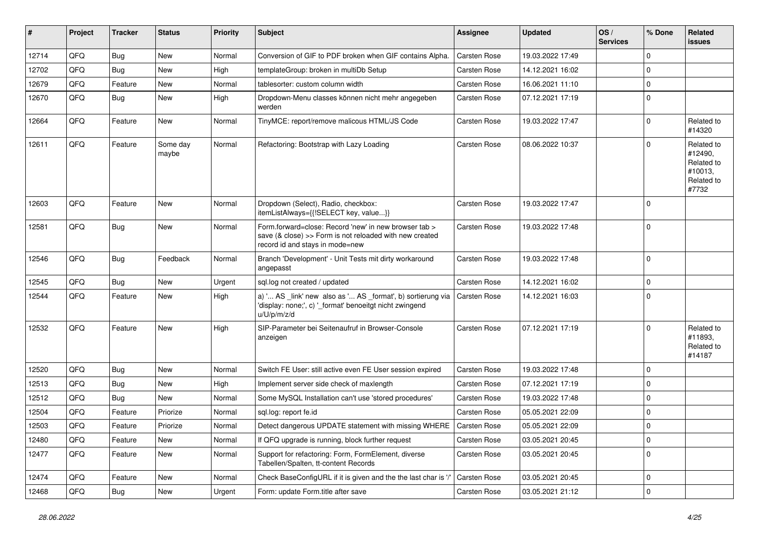| #     | Project | <b>Tracker</b> | <b>Status</b>     | <b>Priority</b> | <b>Subject</b>                                                                                                                                      | <b>Assignee</b>     | <b>Updated</b>   | OS/<br><b>Services</b> | % Done      | Related<br><b>issues</b>                                              |
|-------|---------|----------------|-------------------|-----------------|-----------------------------------------------------------------------------------------------------------------------------------------------------|---------------------|------------------|------------------------|-------------|-----------------------------------------------------------------------|
| 12714 | QFQ     | Bug            | <b>New</b>        | Normal          | Conversion of GIF to PDF broken when GIF contains Alpha.                                                                                            | Carsten Rose        | 19.03.2022 17:49 |                        | $\mathbf 0$ |                                                                       |
| 12702 | QFQ     | Bug            | <b>New</b>        | High            | templateGroup: broken in multiDb Setup                                                                                                              | Carsten Rose        | 14.12.2021 16:02 |                        | $\mathbf 0$ |                                                                       |
| 12679 | QFQ     | Feature        | New               | Normal          | tablesorter: custom column width                                                                                                                    | Carsten Rose        | 16.06.2021 11:10 |                        | $\mathbf 0$ |                                                                       |
| 12670 | QFQ     | Bug            | <b>New</b>        | High            | Dropdown-Menu classes können nicht mehr angegeben<br>werden                                                                                         | Carsten Rose        | 07.12.2021 17:19 |                        | $\mathbf 0$ |                                                                       |
| 12664 | QFQ     | Feature        | New               | Normal          | TinyMCE: report/remove malicous HTML/JS Code                                                                                                        | Carsten Rose        | 19.03.2022 17:47 |                        | $\mathbf 0$ | Related to<br>#14320                                                  |
| 12611 | QFQ     | Feature        | Some day<br>maybe | Normal          | Refactoring: Bootstrap with Lazy Loading                                                                                                            | Carsten Rose        | 08.06.2022 10:37 |                        | $\mathbf 0$ | Related to<br>#12490,<br>Related to<br>#10013,<br>Related to<br>#7732 |
| 12603 | QFQ     | Feature        | New               | Normal          | Dropdown (Select), Radio, checkbox:<br>itemListAlways={{!SELECT key, value}}                                                                        | Carsten Rose        | 19.03.2022 17:47 |                        | $\mathbf 0$ |                                                                       |
| 12581 | QFQ     | Bug            | <b>New</b>        | Normal          | Form.forward=close: Record 'new' in new browser tab ><br>save (& close) >> Form is not reloaded with new created<br>record id and stays in mode=new | <b>Carsten Rose</b> | 19.03.2022 17:48 |                        | $\mathbf 0$ |                                                                       |
| 12546 | QFQ     | Bug            | Feedback          | Normal          | Branch 'Development' - Unit Tests mit dirty workaround<br>angepasst                                                                                 | Carsten Rose        | 19.03.2022 17:48 |                        | $\mathbf 0$ |                                                                       |
| 12545 | QFQ     | <b>Bug</b>     | <b>New</b>        | Urgent          | sql.log not created / updated                                                                                                                       | Carsten Rose        | 14.12.2021 16:02 |                        | $\mathbf 0$ |                                                                       |
| 12544 | QFQ     | Feature        | <b>New</b>        | High            | a) ' AS _link' new also as ' AS _format', b) sortierung via<br>'display: none;', c) '_format' benoeitgt nicht zwingend<br>u/U/p/m/z/d               | Carsten Rose        | 14.12.2021 16:03 |                        | $\mathbf 0$ |                                                                       |
| 12532 | QFQ     | Feature        | <b>New</b>        | High            | SIP-Parameter bei Seitenaufruf in Browser-Console<br>anzeigen                                                                                       | Carsten Rose        | 07.12.2021 17:19 |                        | $\mathbf 0$ | Related to<br>#11893.<br>Related to<br>#14187                         |
| 12520 | QFQ     | Bug            | <b>New</b>        | Normal          | Switch FE User: still active even FE User session expired                                                                                           | <b>Carsten Rose</b> | 19.03.2022 17:48 |                        | $\mathbf 0$ |                                                                       |
| 12513 | QFQ     | <b>Bug</b>     | New               | High            | Implement server side check of maxlength                                                                                                            | <b>Carsten Rose</b> | 07.12.2021 17:19 |                        | $\mathbf 0$ |                                                                       |
| 12512 | QFQ     | Bug            | <b>New</b>        | Normal          | Some MySQL Installation can't use 'stored procedures'                                                                                               | Carsten Rose        | 19.03.2022 17:48 |                        | 0           |                                                                       |
| 12504 | QFQ     | Feature        | Priorize          | Normal          | sql.log: report fe.id                                                                                                                               | Carsten Rose        | 05.05.2021 22:09 |                        | 0           |                                                                       |
| 12503 | QFQ     | Feature        | Priorize          | Normal          | Detect dangerous UPDATE statement with missing WHERE                                                                                                | <b>Carsten Rose</b> | 05.05.2021 22:09 |                        | $\mathbf 0$ |                                                                       |
| 12480 | QFQ     | Feature        | <b>New</b>        | Normal          | If QFQ upgrade is running, block further request                                                                                                    | Carsten Rose        | 03.05.2021 20:45 |                        | $\mathbf 0$ |                                                                       |
| 12477 | QFQ     | Feature        | New               | Normal          | Support for refactoring: Form, FormElement, diverse<br>Tabellen/Spalten, tt-content Records                                                         | Carsten Rose        | 03.05.2021 20:45 |                        | $\mathbf 0$ |                                                                       |
| 12474 | QFQ     | Feature        | <b>New</b>        | Normal          | Check BaseConfigURL if it is given and the the last char is '/'                                                                                     | Carsten Rose        | 03.05.2021 20:45 |                        | $\mathbf 0$ |                                                                       |
| 12468 | QFQ     | Bug            | New               | Urgent          | Form: update Form.title after save                                                                                                                  | Carsten Rose        | 03.05.2021 21:12 |                        | $\mathbf 0$ |                                                                       |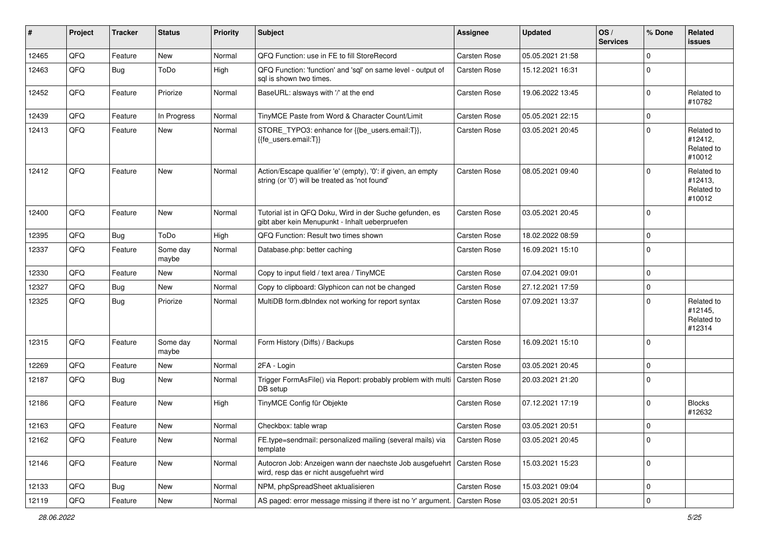| #     | Project | <b>Tracker</b> | <b>Status</b>     | <b>Priority</b> | <b>Subject</b>                                                                                                 | <b>Assignee</b>     | <b>Updated</b>   | OS/<br><b>Services</b> | % Done      | Related<br><b>issues</b>                      |
|-------|---------|----------------|-------------------|-----------------|----------------------------------------------------------------------------------------------------------------|---------------------|------------------|------------------------|-------------|-----------------------------------------------|
| 12465 | QFQ     | Feature        | <b>New</b>        | Normal          | QFQ Function: use in FE to fill StoreRecord                                                                    | Carsten Rose        | 05.05.2021 21:58 |                        | $\mathbf 0$ |                                               |
| 12463 | QFQ     | Bug            | ToDo              | High            | QFQ Function: 'function' and 'sql' on same level - output of<br>sal is shown two times.                        | Carsten Rose        | 15.12.2021 16:31 |                        | $\mathbf 0$ |                                               |
| 12452 | QFQ     | Feature        | Priorize          | Normal          | BaseURL: alsways with '/' at the end                                                                           | Carsten Rose        | 19.06.2022 13:45 |                        | $\mathbf 0$ | Related to<br>#10782                          |
| 12439 | QFQ     | Feature        | In Progress       | Normal          | TinyMCE Paste from Word & Character Count/Limit                                                                | Carsten Rose        | 05.05.2021 22:15 |                        | $\mathbf 0$ |                                               |
| 12413 | QFQ     | Feature        | New               | Normal          | STORE_TYPO3: enhance for {{be_users.email:T}},<br>{{fe users.email:T}}                                         | Carsten Rose        | 03.05.2021 20:45 |                        | $\mathbf 0$ | Related to<br>#12412,<br>Related to<br>#10012 |
| 12412 | QFQ     | Feature        | <b>New</b>        | Normal          | Action/Escape qualifier 'e' (empty), '0': if given, an empty<br>string (or '0') will be treated as 'not found' | Carsten Rose        | 08.05.2021 09:40 |                        | $\mathbf 0$ | Related to<br>#12413,<br>Related to<br>#10012 |
| 12400 | QFQ     | Feature        | <b>New</b>        | Normal          | Tutorial ist in QFQ Doku, Wird in der Suche gefunden, es<br>gibt aber kein Menupunkt - Inhalt ueberpruefen     | Carsten Rose        | 03.05.2021 20:45 |                        | $\mathbf 0$ |                                               |
| 12395 | QFQ     | Bug            | ToDo              | High            | QFQ Function: Result two times shown                                                                           | Carsten Rose        | 18.02.2022 08:59 |                        | $\mathbf 0$ |                                               |
| 12337 | QFQ     | Feature        | Some day<br>maybe | Normal          | Database.php: better caching                                                                                   | Carsten Rose        | 16.09.2021 15:10 |                        | $\mathbf 0$ |                                               |
| 12330 | QFQ     | Feature        | <b>New</b>        | Normal          | Copy to input field / text area / TinyMCE                                                                      | <b>Carsten Rose</b> | 07.04.2021 09:01 |                        | $\mathbf 0$ |                                               |
| 12327 | QFQ     | Bug            | New               | Normal          | Copy to clipboard: Glyphicon can not be changed                                                                | Carsten Rose        | 27.12.2021 17:59 |                        | $\mathbf 0$ |                                               |
| 12325 | QFQ     | Bug            | Priorize          | Normal          | MultiDB form.dblndex not working for report syntax                                                             | Carsten Rose        | 07.09.2021 13:37 |                        | $\mathbf 0$ | Related to<br>#12145,<br>Related to<br>#12314 |
| 12315 | QFQ     | Feature        | Some day<br>maybe | Normal          | Form History (Diffs) / Backups                                                                                 | Carsten Rose        | 16.09.2021 15:10 |                        | $\mathbf 0$ |                                               |
| 12269 | QFQ     | Feature        | <b>New</b>        | Normal          | 2FA - Login                                                                                                    | Carsten Rose        | 03.05.2021 20:45 |                        | $\mathbf 0$ |                                               |
| 12187 | QFQ     | Bug            | <b>New</b>        | Normal          | Trigger FormAsFile() via Report: probably problem with multi<br>DB setup                                       | Carsten Rose        | 20.03.2021 21:20 |                        | $\mathbf 0$ |                                               |
| 12186 | QFQ     | Feature        | New               | High            | TinyMCE Config für Objekte                                                                                     | <b>Carsten Rose</b> | 07.12.2021 17:19 |                        | $\mathbf 0$ | <b>Blocks</b><br>#12632                       |
| 12163 | QFQ     | Feature        | New               | Normal          | Checkbox: table wrap                                                                                           | Carsten Rose        | 03.05.2021 20:51 |                        | $\mathbf 0$ |                                               |
| 12162 | QFQ     | Feature        | New               | Normal          | FE.type=sendmail: personalized mailing (several mails) via<br>template                                         | Carsten Rose        | 03.05.2021 20:45 |                        | $\mathbf 0$ |                                               |
| 12146 | QFQ     | Feature        | <b>New</b>        | Normal          | Autocron Job: Anzeigen wann der naechste Job ausgefuehrt<br>wird, resp das er nicht ausgefuehrt wird           | Carsten Rose        | 15.03.2021 15:23 |                        | $\mathbf 0$ |                                               |
| 12133 | QFQ     | Bug            | <b>New</b>        | Normal          | NPM, phpSpreadSheet aktualisieren                                                                              | Carsten Rose        | 15.03.2021 09:04 |                        | $\mathbf 0$ |                                               |
| 12119 | QFQ     | Feature        | New               | Normal          | AS paged: error message missing if there ist no 'r' argument.                                                  | Carsten Rose        | 03.05.2021 20:51 |                        | $\mathbf 0$ |                                               |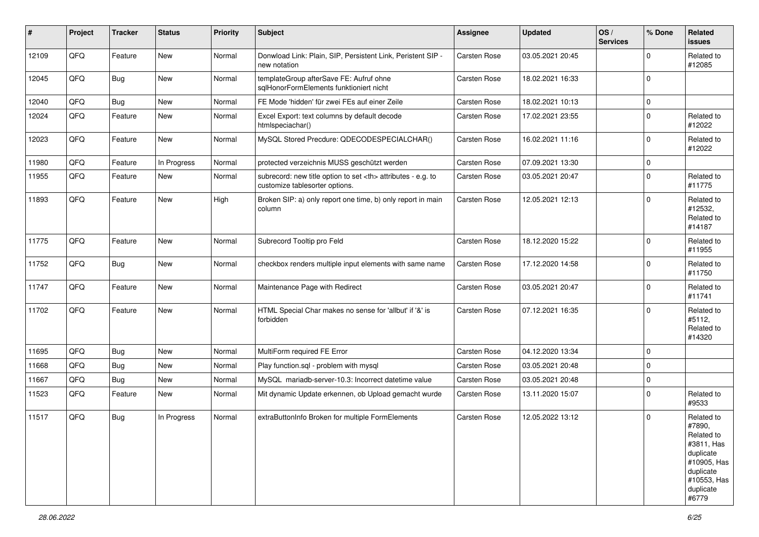| #     | Project | <b>Tracker</b> | <b>Status</b> | <b>Priority</b> | <b>Subject</b>                                                                                       | Assignee                                               | <b>Updated</b>      | OS/<br><b>Services</b> | % Done      | Related<br><b>issues</b>                                                                                                       |                      |
|-------|---------|----------------|---------------|-----------------|------------------------------------------------------------------------------------------------------|--------------------------------------------------------|---------------------|------------------------|-------------|--------------------------------------------------------------------------------------------------------------------------------|----------------------|
| 12109 | QFQ     | Feature        | New           | Normal          | Donwload Link: Plain, SIP, Persistent Link, Peristent SIP -<br>new notation                          | Carsten Rose                                           | 03.05.2021 20:45    |                        | $\mathbf 0$ | Related to<br>#12085                                                                                                           |                      |
| 12045 | QFQ     | Bug            | New           | Normal          | templateGroup afterSave FE: Aufruf ohne<br>sqlHonorFormElements funktioniert nicht                   | <b>Carsten Rose</b>                                    | 18.02.2021 16:33    |                        | $\Omega$    |                                                                                                                                |                      |
| 12040 | QFQ     | Bug            | New           | Normal          | FE Mode 'hidden' für zwei FEs auf einer Zeile                                                        | <b>Carsten Rose</b>                                    | 18.02.2021 10:13    |                        | 0           |                                                                                                                                |                      |
| 12024 | QFQ     | Feature        | New           | Normal          | Excel Export: text columns by default decode<br>htmlspeciachar()                                     | Carsten Rose                                           | 17.02.2021 23:55    |                        | $\mathbf 0$ | Related to<br>#12022                                                                                                           |                      |
| 12023 | QFQ     | Feature        | New           | Normal          | MySQL Stored Precdure: QDECODESPECIALCHAR()                                                          | <b>Carsten Rose</b>                                    | 16.02.2021 11:16    |                        | $\mathbf 0$ | Related to<br>#12022                                                                                                           |                      |
| 11980 | QFQ     | Feature        | In Progress   | Normal          | protected verzeichnis MUSS geschützt werden                                                          | Carsten Rose                                           | 07.09.2021 13:30    |                        | $\mathbf 0$ |                                                                                                                                |                      |
| 11955 | QFQ     | Feature        | New           | Normal          | subrecord: new title option to set <th> attributes - e.g. to<br/>customize tablesorter options.</th> | attributes - e.g. to<br>customize tablesorter options. | <b>Carsten Rose</b> | 03.05.2021 20:47       |             | $\Omega$                                                                                                                       | Related to<br>#11775 |
| 11893 | QFQ     | Feature        | New           | High            | Broken SIP: a) only report one time, b) only report in main<br>column                                | Carsten Rose                                           | 12.05.2021 12:13    |                        | $\mathbf 0$ | Related to<br>#12532,<br>Related to<br>#14187                                                                                  |                      |
| 11775 | QFQ     | Feature        | New           | Normal          | Subrecord Tooltip pro Feld                                                                           | <b>Carsten Rose</b>                                    | 18.12.2020 15:22    |                        | $\mathbf 0$ | Related to<br>#11955                                                                                                           |                      |
| 11752 | QFQ     | <b>Bug</b>     | New           | Normal          | checkbox renders multiple input elements with same name                                              | Carsten Rose                                           | 17.12.2020 14:58    |                        | $\mathbf 0$ | Related to<br>#11750                                                                                                           |                      |
| 11747 | QFQ     | Feature        | New           | Normal          | Maintenance Page with Redirect                                                                       | <b>Carsten Rose</b>                                    | 03.05.2021 20:47    |                        | $\mathbf 0$ | Related to<br>#11741                                                                                                           |                      |
| 11702 | QFQ     | Feature        | New           | Normal          | HTML Special Char makes no sense for 'allbut' if '&' is<br>forbidden                                 | <b>Carsten Rose</b>                                    | 07.12.2021 16:35    |                        | $\mathbf 0$ | Related to<br>#5112,<br>Related to<br>#14320                                                                                   |                      |
| 11695 | QFQ     | Bug            | New           | Normal          | MultiForm required FE Error                                                                          | <b>Carsten Rose</b>                                    | 04.12.2020 13:34    |                        | 0           |                                                                                                                                |                      |
| 11668 | QFQ     | Bug            | New           | Normal          | Play function.sql - problem with mysql                                                               | <b>Carsten Rose</b>                                    | 03.05.2021 20:48    |                        | $\mathbf 0$ |                                                                                                                                |                      |
| 11667 | QFQ     | <b>Bug</b>     | New           | Normal          | MySQL mariadb-server-10.3: Incorrect datetime value                                                  | <b>Carsten Rose</b>                                    | 03.05.2021 20:48    |                        | 0           |                                                                                                                                |                      |
| 11523 | QFQ     | Feature        | New           | Normal          | Mit dynamic Update erkennen, ob Upload gemacht wurde                                                 | <b>Carsten Rose</b>                                    | 13.11.2020 15:07    |                        | $\mathbf 0$ | Related to<br>#9533                                                                                                            |                      |
| 11517 | QFQ     | <b>Bug</b>     | In Progress   | Normal          | extraButtonInfo Broken for multiple FormElements                                                     | <b>Carsten Rose</b>                                    | 12.05.2022 13:12    |                        | $\Omega$    | Related to<br>#7890,<br>Related to<br>#3811, Has<br>duplicate<br>#10905, Has<br>duplicate<br>#10553, Has<br>duplicate<br>#6779 |                      |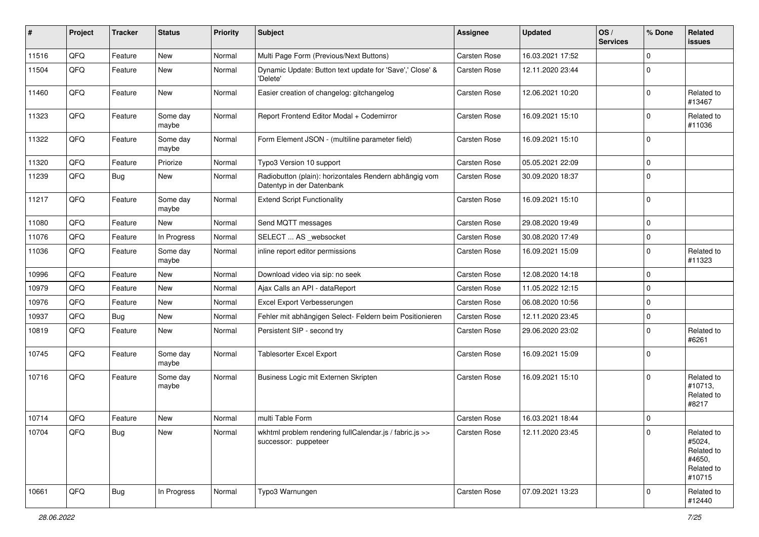| #     | Project    | <b>Tracker</b> | <b>Status</b>     | <b>Priority</b> | <b>Subject</b>                                                                      | <b>Assignee</b>     | <b>Updated</b>   | OS/<br><b>Services</b> | % Done              | <b>Related</b><br><b>issues</b>                                      |
|-------|------------|----------------|-------------------|-----------------|-------------------------------------------------------------------------------------|---------------------|------------------|------------------------|---------------------|----------------------------------------------------------------------|
| 11516 | QFQ        | Feature        | New               | Normal          | Multi Page Form (Previous/Next Buttons)                                             | Carsten Rose        | 16.03.2021 17:52 |                        | $\mathbf 0$         |                                                                      |
| 11504 | QFQ        | Feature        | New               | Normal          | Dynamic Update: Button text update for 'Save',' Close' &<br>'Delete'                | Carsten Rose        | 12.11.2020 23:44 |                        | $\mathbf 0$         |                                                                      |
| 11460 | QFQ        | Feature        | New               | Normal          | Easier creation of changelog: gitchangelog                                          | Carsten Rose        | 12.06.2021 10:20 |                        | $\pmb{0}$           | Related to<br>#13467                                                 |
| 11323 | QFQ        | Feature        | Some day<br>maybe | Normal          | Report Frontend Editor Modal + Codemirror                                           | Carsten Rose        | 16.09.2021 15:10 |                        | $\mathbf 0$         | Related to<br>#11036                                                 |
| 11322 | QFQ        | Feature        | Some day<br>maybe | Normal          | Form Element JSON - (multiline parameter field)                                     | Carsten Rose        | 16.09.2021 15:10 |                        | $\mathbf 0$         |                                                                      |
| 11320 | QFQ        | Feature        | Priorize          | Normal          | Typo3 Version 10 support                                                            | Carsten Rose        | 05.05.2021 22:09 |                        | $\mathbf 0$         |                                                                      |
| 11239 | QFQ        | Bug            | New               | Normal          | Radiobutton (plain): horizontales Rendern abhängig vom<br>Datentyp in der Datenbank | Carsten Rose        | 30.09.2020 18:37 |                        | $\mathbf 0$         |                                                                      |
| 11217 | QFQ        | Feature        | Some day<br>maybe | Normal          | <b>Extend Script Functionality</b>                                                  | <b>Carsten Rose</b> | 16.09.2021 15:10 |                        | $\mathbf 0$         |                                                                      |
| 11080 | QFQ        | Feature        | <b>New</b>        | Normal          | Send MQTT messages                                                                  | Carsten Rose        | 29.08.2020 19:49 |                        | $\mathsf 0$         |                                                                      |
| 11076 | QFQ        | Feature        | In Progress       | Normal          | SELECT  AS _websocket                                                               | Carsten Rose        | 30.08.2020 17:49 |                        | $\mathbf 0$         |                                                                      |
| 11036 | QFQ        | Feature        | Some day<br>maybe | Normal          | inline report editor permissions                                                    | Carsten Rose        | 16.09.2021 15:09 |                        | $\mathbf 0$         | Related to<br>#11323                                                 |
| 10996 | QFQ        | Feature        | New               | Normal          | Download video via sip: no seek                                                     | Carsten Rose        | 12.08.2020 14:18 |                        | $\mathbf 0$         |                                                                      |
| 10979 | QFQ        | Feature        | <b>New</b>        | Normal          | Ajax Calls an API - dataReport                                                      | Carsten Rose        | 11.05.2022 12:15 |                        | $\mathbf 0$         |                                                                      |
| 10976 | QFQ        | Feature        | New               | Normal          | Excel Export Verbesserungen                                                         | Carsten Rose        | 06.08.2020 10:56 |                        | $\mathsf 0$         |                                                                      |
| 10937 | QFQ        | Bug            | New               | Normal          | Fehler mit abhängigen Select- Feldern beim Positionieren                            | Carsten Rose        | 12.11.2020 23:45 |                        | $\mathbf 0$         |                                                                      |
| 10819 | QFQ        | Feature        | <b>New</b>        | Normal          | Persistent SIP - second try                                                         | Carsten Rose        | 29.06.2020 23:02 |                        | $\mathbf 0$         | Related to<br>#6261                                                  |
| 10745 | QFQ        | Feature        | Some day<br>maybe | Normal          | <b>Tablesorter Excel Export</b>                                                     | Carsten Rose        | 16.09.2021 15:09 |                        | $\mathbf 0$         |                                                                      |
| 10716 | QFQ        | Feature        | Some day<br>maybe | Normal          | Business Logic mit Externen Skripten                                                | Carsten Rose        | 16.09.2021 15:10 |                        | $\mathbf 0$         | Related to<br>#10713,<br>Related to<br>#8217                         |
| 10714 | QFQ        | Feature        | New               | Normal          | multi Table Form                                                                    | Carsten Rose        | 16.03.2021 18:44 |                        | $\mathbf 0$         |                                                                      |
| 10704 | <b>QFQ</b> | <b>Bug</b>     | New               | Normal          | wkhtml problem rendering fullCalendar.js / fabric.js >><br>successor: puppeteer     | Carsten Rose        | 12.11.2020 23:45 |                        | l 0                 | Related to<br>#5024,<br>Related to<br>#4650,<br>Related to<br>#10715 |
| 10661 | QFQ        | Bug            | In Progress       | Normal          | Typo3 Warnungen                                                                     | Carsten Rose        | 07.09.2021 13:23 |                        | $\mathsf{O}\xspace$ | Related to<br>#12440                                                 |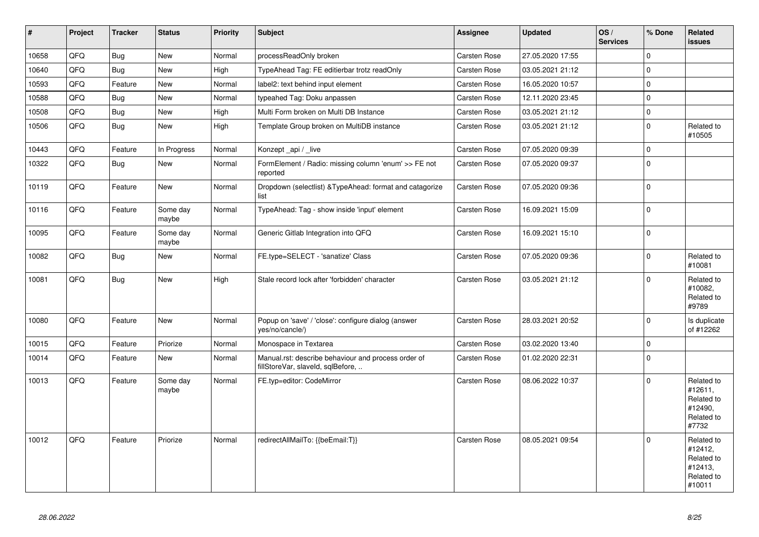| #     | Project | <b>Tracker</b> | <b>Status</b>     | Priority | <b>Subject</b>                                                                           | <b>Assignee</b>     | <b>Updated</b>   | OS/<br><b>Services</b> | % Done       | Related<br><b>issues</b>                                               |
|-------|---------|----------------|-------------------|----------|------------------------------------------------------------------------------------------|---------------------|------------------|------------------------|--------------|------------------------------------------------------------------------|
| 10658 | QFQ     | Bug            | New               | Normal   | processReadOnly broken                                                                   | Carsten Rose        | 27.05.2020 17:55 |                        | $\mathsf 0$  |                                                                        |
| 10640 | QFQ     | <b>Bug</b>     | New               | High     | TypeAhead Tag: FE editierbar trotz readOnly                                              | Carsten Rose        | 03.05.2021 21:12 |                        | $\mathbf 0$  |                                                                        |
| 10593 | QFQ     | Feature        | New               | Normal   | label2: text behind input element                                                        | Carsten Rose        | 16.05.2020 10:57 |                        | $\mathbf 0$  |                                                                        |
| 10588 | QFQ     | <b>Bug</b>     | <b>New</b>        | Normal   | typeahed Tag: Doku anpassen                                                              | Carsten Rose        | 12.11.2020 23:45 |                        | $\mathbf 0$  |                                                                        |
| 10508 | QFQ     | <b>Bug</b>     | <b>New</b>        | High     | Multi Form broken on Multi DB Instance                                                   | Carsten Rose        | 03.05.2021 21:12 |                        | $\mathbf 0$  |                                                                        |
| 10506 | QFQ     | <b>Bug</b>     | <b>New</b>        | High     | Template Group broken on MultiDB instance                                                | Carsten Rose        | 03.05.2021 21:12 |                        | $\mathbf 0$  | Related to<br>#10505                                                   |
| 10443 | QFQ     | Feature        | In Progress       | Normal   | Konzept _api / _live                                                                     | Carsten Rose        | 07.05.2020 09:39 |                        | $\mathbf{0}$ |                                                                        |
| 10322 | QFQ     | Bug            | New               | Normal   | FormElement / Radio: missing column 'enum' >> FE not<br>reported                         | Carsten Rose        | 07.05.2020 09:37 |                        | $\mathbf 0$  |                                                                        |
| 10119 | QFQ     | Feature        | New               | Normal   | Dropdown (selectlist) & TypeAhead: format and catagorize<br>list                         | Carsten Rose        | 07.05.2020 09:36 |                        | $\mathbf 0$  |                                                                        |
| 10116 | QFQ     | Feature        | Some day<br>maybe | Normal   | TypeAhead: Tag - show inside 'input' element                                             | <b>Carsten Rose</b> | 16.09.2021 15:09 |                        | $\mathsf 0$  |                                                                        |
| 10095 | QFQ     | Feature        | Some day<br>maybe | Normal   | Generic Gitlab Integration into QFQ                                                      | Carsten Rose        | 16.09.2021 15:10 |                        | $\pmb{0}$    |                                                                        |
| 10082 | QFQ     | Bug            | New               | Normal   | FE.type=SELECT - 'sanatize' Class                                                        | Carsten Rose        | 07.05.2020 09:36 |                        | $\mathbf 0$  | Related to<br>#10081                                                   |
| 10081 | QFQ     | Bug            | New               | High     | Stale record lock after 'forbidden' character                                            | Carsten Rose        | 03.05.2021 21:12 |                        | $\mathbf 0$  | Related to<br>#10082,<br>Related to<br>#9789                           |
| 10080 | QFQ     | Feature        | New               | Normal   | Popup on 'save' / 'close': configure dialog (answer<br>yes/no/cancle/)                   | Carsten Rose        | 28.03.2021 20:52 |                        | $\Omega$     | Is duplicate<br>of #12262                                              |
| 10015 | QFQ     | Feature        | Priorize          | Normal   | Monospace in Textarea                                                                    | Carsten Rose        | 03.02.2020 13:40 |                        | $\mathbf 0$  |                                                                        |
| 10014 | QFQ     | Feature        | New               | Normal   | Manual.rst: describe behaviour and process order of<br>fillStoreVar, slaveId, sqlBefore, | Carsten Rose        | 01.02.2020 22:31 |                        | $\mathsf 0$  |                                                                        |
| 10013 | QFQ     | Feature        | Some day<br>maybe | Normal   | FE.typ=editor: CodeMirror                                                                | Carsten Rose        | 08.06.2022 10:37 |                        | $\mathbf 0$  | Related to<br>#12611,<br>Related to<br>#12490,<br>Related to<br>#7732  |
| 10012 | QFQ     | Feature        | Priorize          | Normal   | redirectAllMailTo: {{beEmail:T}}                                                         | Carsten Rose        | 08.05.2021 09:54 |                        | $\mathbf 0$  | Related to<br>#12412,<br>Related to<br>#12413,<br>Related to<br>#10011 |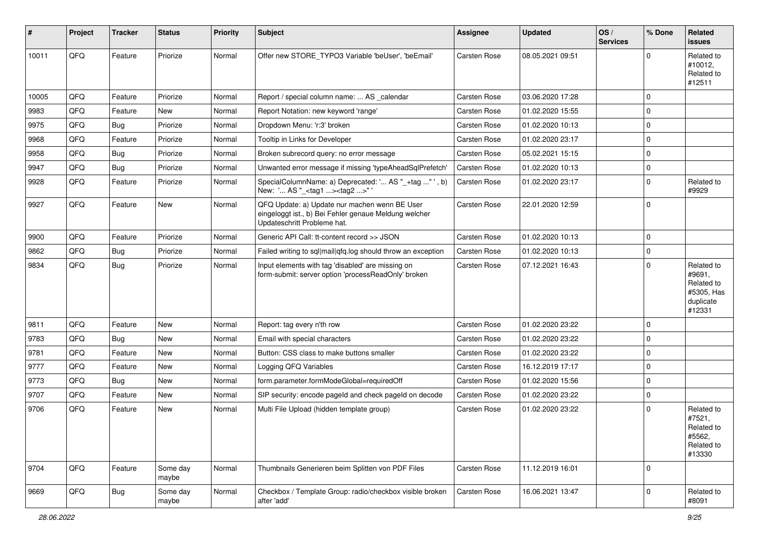| ∦     | Project | <b>Tracker</b> | <b>Status</b>     | <b>Priority</b> | <b>Subject</b>                                                                                                                        | <b>Assignee</b>     | <b>Updated</b>   | OS/<br><b>Services</b> | % Done      | <b>Related</b><br><b>issues</b>                                         |
|-------|---------|----------------|-------------------|-----------------|---------------------------------------------------------------------------------------------------------------------------------------|---------------------|------------------|------------------------|-------------|-------------------------------------------------------------------------|
| 10011 | QFQ     | Feature        | Priorize          | Normal          | Offer new STORE_TYPO3 Variable 'beUser', 'beEmail'                                                                                    | <b>Carsten Rose</b> | 08.05.2021 09:51 |                        | $\Omega$    | Related to<br>#10012,<br>Related to<br>#12511                           |
| 10005 | QFQ     | Feature        | Priorize          | Normal          | Report / special column name:  AS calendar                                                                                            | <b>Carsten Rose</b> | 03.06.2020 17:28 |                        | $\mathbf 0$ |                                                                         |
| 9983  | QFQ     | Feature        | New               | Normal          | Report Notation: new keyword 'range'                                                                                                  | Carsten Rose        | 01.02.2020 15:55 |                        | $\mathbf 0$ |                                                                         |
| 9975  | QFQ     | Bug            | Priorize          | Normal          | Dropdown Menu: 'r:3' broken                                                                                                           | Carsten Rose        | 01.02.2020 10:13 |                        | $\mathbf 0$ |                                                                         |
| 9968  | QFQ     | Feature        | Priorize          | Normal          | Tooltip in Links for Developer                                                                                                        | Carsten Rose        | 01.02.2020 23:17 |                        | $\mathbf 0$ |                                                                         |
| 9958  | QFQ     | Bug            | Priorize          | Normal          | Broken subrecord query: no error message                                                                                              | Carsten Rose        | 05.02.2021 15:15 |                        | $\mathbf 0$ |                                                                         |
| 9947  | QFQ     | Bug            | Priorize          | Normal          | Unwanted error message if missing 'typeAheadSqlPrefetch'                                                                              | Carsten Rose        | 01.02.2020 10:13 |                        | $\mathbf 0$ |                                                                         |
| 9928  | QFQ     | Feature        | Priorize          | Normal          | SpecialColumnName: a) Deprecated: ' AS "_+tag " ', b)<br>New: ' AS "_ <tag1><tag2>"'</tag2></tag1>                                    | Carsten Rose        | 01.02.2020 23:17 |                        | $\mathbf 0$ | Related to<br>#9929                                                     |
| 9927  | QFQ     | Feature        | New               | Normal          | QFQ Update: a) Update nur machen wenn BE User<br>eingeloggt ist., b) Bei Fehler genaue Meldung welcher<br>Updateschritt Probleme hat. | <b>Carsten Rose</b> | 22.01.2020 12:59 |                        | $\mathbf 0$ |                                                                         |
| 9900  | QFQ     | Feature        | Priorize          | Normal          | Generic API Call: tt-content record >> JSON                                                                                           | Carsten Rose        | 01.02.2020 10:13 |                        | $\mathbf 0$ |                                                                         |
| 9862  | QFQ     | Bug            | Priorize          | Normal          | Failed writing to sql mail qfq.log should throw an exception                                                                          | Carsten Rose        | 01.02.2020 10:13 |                        | $\mathbf 0$ |                                                                         |
| 9834  | QFQ     | Bug            | Priorize          | Normal          | Input elements with tag 'disabled' are missing on<br>form-submit: server option 'processReadOnly' broken                              | Carsten Rose        | 07.12.2021 16:43 |                        | $\mathbf 0$ | Related to<br>#9691,<br>Related to<br>#5305, Has<br>duplicate<br>#12331 |
| 9811  | QFQ     | Feature        | New               | Normal          | Report: tag every n'th row                                                                                                            | <b>Carsten Rose</b> | 01.02.2020 23:22 |                        | $\mathbf 0$ |                                                                         |
| 9783  | QFQ     | Bug            | New               | Normal          | Email with special characters                                                                                                         | Carsten Rose        | 01.02.2020 23:22 |                        | $\mathbf 0$ |                                                                         |
| 9781  | QFQ     | Feature        | New               | Normal          | Button: CSS class to make buttons smaller                                                                                             | Carsten Rose        | 01.02.2020 23:22 |                        | $\mathbf 0$ |                                                                         |
| 9777  | QFQ     | Feature        | New               | Normal          | Logging QFQ Variables                                                                                                                 | Carsten Rose        | 16.12.2019 17:17 |                        | $\mathbf 0$ |                                                                         |
| 9773  | QFQ     | Bug            | <b>New</b>        | Normal          | form.parameter.formModeGlobal=requiredOff                                                                                             | Carsten Rose        | 01.02.2020 15:56 |                        | $\pmb{0}$   |                                                                         |
| 9707  | QFQ     | Feature        | New               | Normal          | SIP security: encode pageld and check pageld on decode                                                                                | Carsten Rose        | 01.02.2020 23:22 |                        | $\mathbf 0$ |                                                                         |
| 9706  | QFQ     | Feature        | New               | Normal          | Multi File Upload (hidden template group)                                                                                             | Carsten Rose        | 01.02.2020 23:22 |                        | $\mathbf 0$ | Related to<br>#7521,<br>Related to<br>#5562,<br>Related to<br>#13330    |
| 9704  | QFO     | Feature        | Some day<br>maybe | Normal          | Thumbnails Generieren beim Splitten von PDF Files                                                                                     | Carsten Rose        | 11.12.2019 16:01 |                        | $\mathbf 0$ |                                                                         |
| 9669  | QFQ     | <b>Bug</b>     | Some day<br>maybe | Normal          | Checkbox / Template Group: radio/checkbox visible broken<br>after 'add'                                                               | Carsten Rose        | 16.06.2021 13:47 |                        | $\mathbf 0$ | Related to<br>#8091                                                     |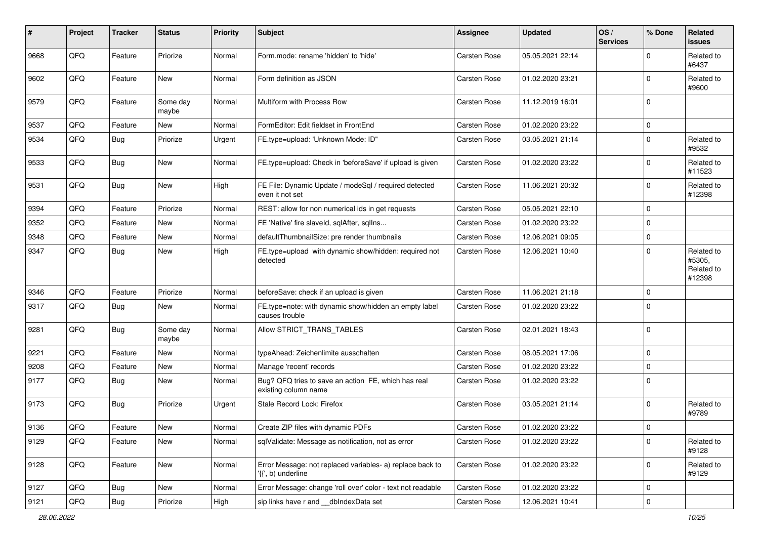| #    | Project | <b>Tracker</b> | <b>Status</b>     | <b>Priority</b> | Subject                                                                         | <b>Assignee</b>     | <b>Updated</b>   | OS/<br><b>Services</b> | % Done      | <b>Related</b><br><b>issues</b>              |
|------|---------|----------------|-------------------|-----------------|---------------------------------------------------------------------------------|---------------------|------------------|------------------------|-------------|----------------------------------------------|
| 9668 | QFQ     | Feature        | Priorize          | Normal          | Form.mode: rename 'hidden' to 'hide'                                            | Carsten Rose        | 05.05.2021 22:14 |                        | $\mathbf 0$ | Related to<br>#6437                          |
| 9602 | QFQ     | Feature        | New               | Normal          | Form definition as JSON                                                         | Carsten Rose        | 01.02.2020 23:21 |                        | $\mathbf 0$ | Related to<br>#9600                          |
| 9579 | QFQ     | Feature        | Some day<br>maybe | Normal          | Multiform with Process Row                                                      | Carsten Rose        | 11.12.2019 16:01 |                        | $\mathbf 0$ |                                              |
| 9537 | QFQ     | Feature        | New               | Normal          | FormEditor: Edit fieldset in FrontEnd                                           | Carsten Rose        | 01.02.2020 23:22 |                        | $\mathbf 0$ |                                              |
| 9534 | QFQ     | Bug            | Priorize          | Urgent          | FE.type=upload: 'Unknown Mode: ID"                                              | Carsten Rose        | 03.05.2021 21:14 |                        | $\mathbf 0$ | Related to<br>#9532                          |
| 9533 | QFQ     | Bug            | New               | Normal          | FE.type=upload: Check in 'beforeSave' if upload is given                        | Carsten Rose        | 01.02.2020 23:22 |                        | $\mathbf 0$ | Related to<br>#11523                         |
| 9531 | QFQ     | Bug            | New               | High            | FE File: Dynamic Update / modeSql / required detected<br>even it not set        | Carsten Rose        | 11.06.2021 20:32 |                        | $\mathbf 0$ | Related to<br>#12398                         |
| 9394 | QFQ     | Feature        | Priorize          | Normal          | REST: allow for non numerical ids in get requests                               | Carsten Rose        | 05.05.2021 22:10 |                        | $\mathbf 0$ |                                              |
| 9352 | QFQ     | Feature        | New               | Normal          | FE 'Native' fire slaveld, sqlAfter, sqlIns                                      | Carsten Rose        | 01.02.2020 23:22 |                        | $\mathbf 0$ |                                              |
| 9348 | QFQ     | Feature        | New               | Normal          | defaultThumbnailSize: pre render thumbnails                                     | Carsten Rose        | 12.06.2021 09:05 |                        | $\mathsf 0$ |                                              |
| 9347 | QFQ     | Bug            | New               | High            | FE.type=upload with dynamic show/hidden: required not<br>detected               | Carsten Rose        | 12.06.2021 10:40 |                        | $\mathbf 0$ | Related to<br>#5305,<br>Related to<br>#12398 |
| 9346 | QFQ     | Feature        | Priorize          | Normal          | beforeSave: check if an upload is given                                         | Carsten Rose        | 11.06.2021 21:18 |                        | $\mathbf 0$ |                                              |
| 9317 | QFQ     | Bug            | New               | Normal          | FE.type=note: with dynamic show/hidden an empty label<br>causes trouble         | <b>Carsten Rose</b> | 01.02.2020 23:22 |                        | $\mathbf 0$ |                                              |
| 9281 | QFQ     | <b>Bug</b>     | Some day<br>maybe | Normal          | Allow STRICT_TRANS_TABLES                                                       | Carsten Rose        | 02.01.2021 18:43 |                        | $\mathbf 0$ |                                              |
| 9221 | QFQ     | Feature        | New               | Normal          | typeAhead: Zeichenlimite ausschalten                                            | Carsten Rose        | 08.05.2021 17:06 |                        | $\mathbf 0$ |                                              |
| 9208 | QFQ     | Feature        | New               | Normal          | Manage 'recent' records                                                         | Carsten Rose        | 01.02.2020 23:22 |                        | $\mathbf 0$ |                                              |
| 9177 | QFQ     | Bug            | New               | Normal          | Bug? QFQ tries to save an action FE, which has real<br>existing column name     | Carsten Rose        | 01.02.2020 23:22 |                        | $\mathbf 0$ |                                              |
| 9173 | QFQ     | Bug            | Priorize          | Urgent          | Stale Record Lock: Firefox                                                      | Carsten Rose        | 03.05.2021 21:14 |                        | $\mathbf 0$ | Related to<br>#9789                          |
| 9136 | QFG     | Feature        | New               | Normal          | Create ZIP files with dynamic PDFs                                              | Carsten Rose        | 01.02.2020 23:22 |                        | $\mathbf 0$ |                                              |
| 9129 | QFQ     | Feature        | New               | Normal          | sqlValidate: Message as notification, not as error                              | Carsten Rose        | 01.02.2020 23:22 |                        | $\mathbf 0$ | Related to<br>#9128                          |
| 9128 | QFQ     | Feature        | New               | Normal          | Error Message: not replaced variables- a) replace back to<br>'{{', b) underline | Carsten Rose        | 01.02.2020 23:22 |                        | $\mathbf 0$ | Related to<br>#9129                          |
| 9127 | QFQ     | Bug            | New               | Normal          | Error Message: change 'roll over' color - text not readable                     | Carsten Rose        | 01.02.2020 23:22 |                        | 0           |                                              |
| 9121 | QFQ     | Bug            | Priorize          | High            | sip links have r and __dbIndexData set                                          | Carsten Rose        | 12.06.2021 10:41 |                        | $\mathsf 0$ |                                              |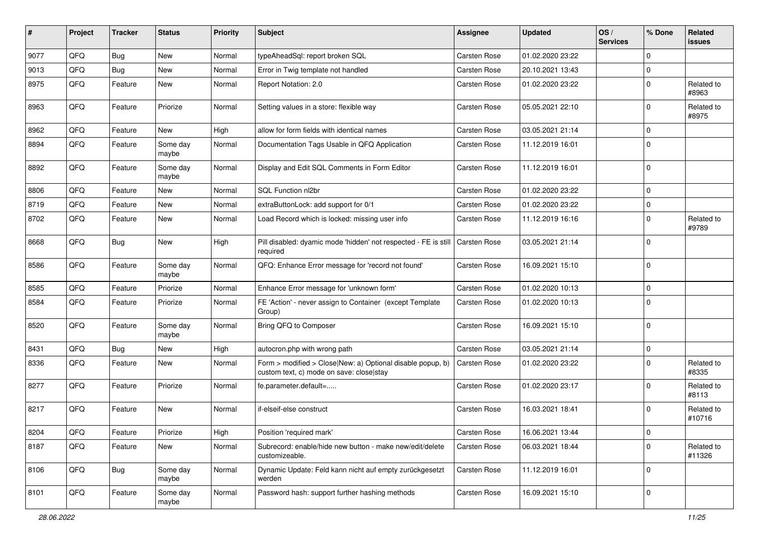| $\sharp$ | Project | <b>Tracker</b> | <b>Status</b>     | <b>Priority</b> | <b>Subject</b>                                                                                         | <b>Assignee</b>     | <b>Updated</b>   | OS/<br><b>Services</b> | % Done      | <b>Related</b><br><b>issues</b> |
|----------|---------|----------------|-------------------|-----------------|--------------------------------------------------------------------------------------------------------|---------------------|------------------|------------------------|-------------|---------------------------------|
| 9077     | QFQ     | Bug            | New               | Normal          | typeAheadSql: report broken SQL                                                                        | Carsten Rose        | 01.02.2020 23:22 |                        | $\mathbf 0$ |                                 |
| 9013     | QFQ     | Bug            | New               | Normal          | Error in Twig template not handled                                                                     | Carsten Rose        | 20.10.2021 13:43 |                        | $\mathbf 0$ |                                 |
| 8975     | QFQ     | Feature        | New               | Normal          | Report Notation: 2.0                                                                                   | Carsten Rose        | 01.02.2020 23:22 |                        | $\mathbf 0$ | Related to<br>#8963             |
| 8963     | QFQ     | Feature        | Priorize          | Normal          | Setting values in a store: flexible way                                                                | Carsten Rose        | 05.05.2021 22:10 |                        | $\mathbf 0$ | Related to<br>#8975             |
| 8962     | QFQ     | Feature        | <b>New</b>        | High            | allow for form fields with identical names                                                             | Carsten Rose        | 03.05.2021 21:14 |                        | $\mathbf 0$ |                                 |
| 8894     | QFQ     | Feature        | Some day<br>maybe | Normal          | Documentation Tags Usable in QFQ Application                                                           | Carsten Rose        | 11.12.2019 16:01 |                        | $\mathbf 0$ |                                 |
| 8892     | QFQ     | Feature        | Some day<br>maybe | Normal          | Display and Edit SQL Comments in Form Editor                                                           | <b>Carsten Rose</b> | 11.12.2019 16:01 |                        | $\mathbf 0$ |                                 |
| 8806     | QFQ     | Feature        | New               | Normal          | SQL Function nl2br                                                                                     | Carsten Rose        | 01.02.2020 23:22 |                        | $\mathbf 0$ |                                 |
| 8719     | QFQ     | Feature        | New               | Normal          | extraButtonLock: add support for 0/1                                                                   | Carsten Rose        | 01.02.2020 23:22 |                        | $\mathbf 0$ |                                 |
| 8702     | QFQ     | Feature        | New               | Normal          | Load Record which is locked: missing user info                                                         | <b>Carsten Rose</b> | 11.12.2019 16:16 |                        | $\mathbf 0$ | Related to<br>#9789             |
| 8668     | QFQ     | Bug            | New               | High            | Pill disabled: dyamic mode 'hidden' not respected - FE is still<br>required                            | Carsten Rose        | 03.05.2021 21:14 |                        | $\mathbf 0$ |                                 |
| 8586     | QFQ     | Feature        | Some day<br>maybe | Normal          | QFQ: Enhance Error message for 'record not found'                                                      | Carsten Rose        | 16.09.2021 15:10 |                        | $\mathbf 0$ |                                 |
| 8585     | QFQ     | Feature        | Priorize          | Normal          | Enhance Error message for 'unknown form'                                                               | Carsten Rose        | 01.02.2020 10:13 |                        | $\mathbf 0$ |                                 |
| 8584     | QFQ     | Feature        | Priorize          | Normal          | FE 'Action' - never assign to Container (except Template<br>Group)                                     | Carsten Rose        | 01.02.2020 10:13 |                        | $\mathbf 0$ |                                 |
| 8520     | QFQ     | Feature        | Some day<br>maybe | Normal          | Bring QFQ to Composer                                                                                  | Carsten Rose        | 16.09.2021 15:10 |                        | $\mathbf 0$ |                                 |
| 8431     | QFQ     | <b>Bug</b>     | New               | High            | autocron.php with wrong path                                                                           | <b>Carsten Rose</b> | 03.05.2021 21:14 |                        | $\mathbf 0$ |                                 |
| 8336     | QFQ     | Feature        | New               | Normal          | Form > modified > Close New: a) Optional disable popup, b)<br>custom text, c) mode on save: close stay | Carsten Rose        | 01.02.2020 23:22 |                        | $\mathbf 0$ | Related to<br>#8335             |
| 8277     | QFQ     | Feature        | Priorize          | Normal          | fe.parameter.default=                                                                                  | Carsten Rose        | 01.02.2020 23:17 |                        | $\mathbf 0$ | Related to<br>#8113             |
| 8217     | QFQ     | Feature        | New               | Normal          | if-elseif-else construct                                                                               | Carsten Rose        | 16.03.2021 18:41 |                        | $\mathbf 0$ | Related to<br>#10716            |
| 8204     | QFQ     | Feature        | Priorize          | High            | Position 'required mark'                                                                               | Carsten Rose        | 16.06.2021 13:44 |                        | 0           |                                 |
| 8187     | QFQ     | Feature        | New               | Normal          | Subrecord: enable/hide new button - make new/edit/delete<br>customizeable.                             | Carsten Rose        | 06.03.2021 18:44 |                        | $\mathbf 0$ | Related to<br>#11326            |
| 8106     | QFQ     | Bug            | Some day<br>maybe | Normal          | Dynamic Update: Feld kann nicht auf empty zurückgesetzt<br>werden                                      | Carsten Rose        | 11.12.2019 16:01 |                        | $\mathbf 0$ |                                 |
| 8101     | QFQ     | Feature        | Some day<br>maybe | Normal          | Password hash: support further hashing methods                                                         | Carsten Rose        | 16.09.2021 15:10 |                        | $\mathsf 0$ |                                 |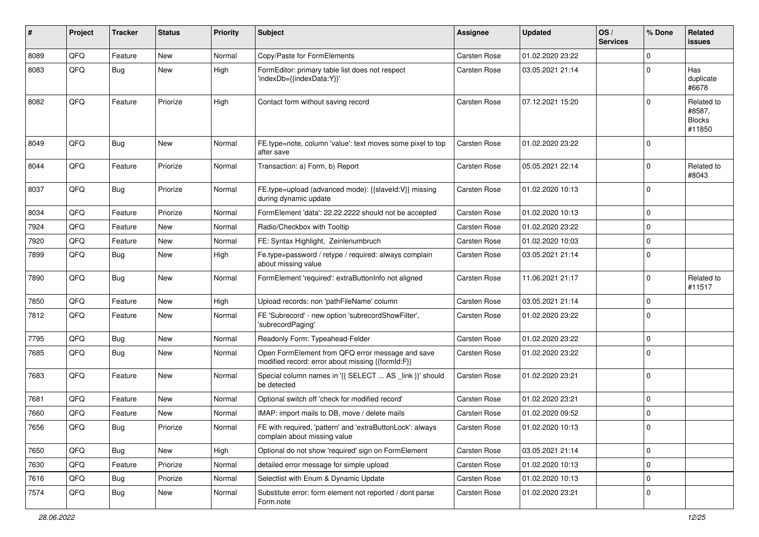| #    | Project | <b>Tracker</b> | <b>Status</b> | <b>Priority</b> | Subject                                                                                               | <b>Assignee</b> | <b>Updated</b>   | OS/<br><b>Services</b> | % Done      | Related<br><b>issues</b>                        |
|------|---------|----------------|---------------|-----------------|-------------------------------------------------------------------------------------------------------|-----------------|------------------|------------------------|-------------|-------------------------------------------------|
| 8089 | QFQ     | Feature        | New           | Normal          | Copy/Paste for FormElements                                                                           | Carsten Rose    | 01.02.2020 23:22 |                        | $\Omega$    |                                                 |
| 8083 | QFQ     | Bug            | <b>New</b>    | High            | FormEditor: primary table list does not respect<br>'indexDb={{indexData:Y}}'                          | Carsten Rose    | 03.05.2021 21:14 |                        | 0           | Has<br>duplicate<br>#6678                       |
| 8082 | QFQ     | Feature        | Priorize      | High            | Contact form without saving record                                                                    | Carsten Rose    | 07.12.2021 15:20 |                        | 0           | Related to<br>#8587,<br><b>Blocks</b><br>#11850 |
| 8049 | QFQ     | <b>Bug</b>     | <b>New</b>    | Normal          | FE.type=note, column 'value': text moves some pixel to top<br>after save                              | Carsten Rose    | 01.02.2020 23:22 |                        | $\Omega$    |                                                 |
| 8044 | QFQ     | Feature        | Priorize      | Normal          | Transaction: a) Form, b) Report                                                                       | Carsten Rose    | 05.05.2021 22:14 |                        | $\Omega$    | Related to<br>#8043                             |
| 8037 | QFQ     | Bug            | Priorize      | Normal          | FE.type=upload (advanced mode): {{slaveld:V}} missing<br>during dynamic update                        | Carsten Rose    | 01.02.2020 10:13 |                        | $\Omega$    |                                                 |
| 8034 | QFQ     | Feature        | Priorize      | Normal          | FormElement 'data': 22.22.2222 should not be accepted                                                 | Carsten Rose    | 01.02.2020 10:13 |                        | $\mathbf 0$ |                                                 |
| 7924 | QFQ     | Feature        | New           | Normal          | Radio/Checkbox with Tooltip                                                                           | Carsten Rose    | 01.02.2020 23:22 |                        | $\Omega$    |                                                 |
| 7920 | QFQ     | Feature        | New           | Normal          | FE: Syntax Highlight, Zeinlenumbruch                                                                  | Carsten Rose    | 01.02.2020 10:03 |                        | $\Omega$    |                                                 |
| 7899 | QFQ     | Bug            | <b>New</b>    | High            | Fe.type=password / retype / required: always complain<br>about missing value                          | Carsten Rose    | 03.05.2021 21:14 |                        | $\Omega$    |                                                 |
| 7890 | QFQ     | Bug            | New           | Normal          | FormElement 'required': extraButtonInfo not aligned                                                   | Carsten Rose    | 11.06.2021 21:17 |                        | $\Omega$    | Related to<br>#11517                            |
| 7850 | QFQ     | Feature        | <b>New</b>    | High            | Upload records: non 'pathFileName' column                                                             | Carsten Rose    | 03.05.2021 21:14 |                        | $\Omega$    |                                                 |
| 7812 | QFQ     | Feature        | <b>New</b>    | Normal          | FE 'Subrecord' - new option 'subrecordShowFilter',<br>'subrecordPaging'                               | Carsten Rose    | 01.02.2020 23:22 |                        | $\mathbf 0$ |                                                 |
| 7795 | QFQ     | Bug            | <b>New</b>    | Normal          | Readonly Form: Typeahead-Felder                                                                       | Carsten Rose    | 01.02.2020 23:22 |                        | $\mathbf 0$ |                                                 |
| 7685 | QFQ     | Bug            | New           | Normal          | Open FormElement from QFQ error message and save<br>modified record: error about missing {{formId:F}} | Carsten Rose    | 01.02.2020 23:22 |                        | $\Omega$    |                                                 |
| 7683 | QFQ     | Feature        | <b>New</b>    | Normal          | Special column names in '{{ SELECT  AS _link }}' should<br>be detected                                | Carsten Rose    | 01.02.2020 23:21 |                        | $\Omega$    |                                                 |
| 7681 | QFQ     | Feature        | <b>New</b>    | Normal          | Optional switch off 'check for modified record'                                                       | Carsten Rose    | 01.02.2020 23:21 |                        | $\Omega$    |                                                 |
| 7660 | QFQ     | Feature        | New           | Normal          | IMAP: import mails to DB, move / delete mails                                                         | Carsten Rose    | 01.02.2020 09:52 |                        | $\Omega$    |                                                 |
| 7656 | QFQ     | Bug            | Priorize      | Normal          | FE with required, 'pattern' and 'extraButtonLock': always<br>complain about missing value             | Carsten Rose    | 01.02.2020 10:13 |                        | $\Omega$    |                                                 |
| 7650 | QFQ     | Bug            | New           | High            | Optional do not show 'required' sign on FormElement                                                   | Carsten Rose    | 03.05.2021 21:14 |                        | $\mathbf 0$ |                                                 |
| 7630 | QFQ     | Feature        | Priorize      | Normal          | detailed error message for simple upload                                                              | Carsten Rose    | 01.02.2020 10:13 |                        | $\mathbf 0$ |                                                 |
| 7616 | QFQ     | Bug            | Priorize      | Normal          | Selectlist with Enum & Dynamic Update                                                                 | Carsten Rose    | 01.02.2020 10:13 |                        | $\mathbf 0$ |                                                 |
| 7574 | QFQ     | <b>Bug</b>     | New           | Normal          | Substitute error: form element not reported / dont parse<br>Form.note                                 | Carsten Rose    | 01.02.2020 23:21 |                        | 0           |                                                 |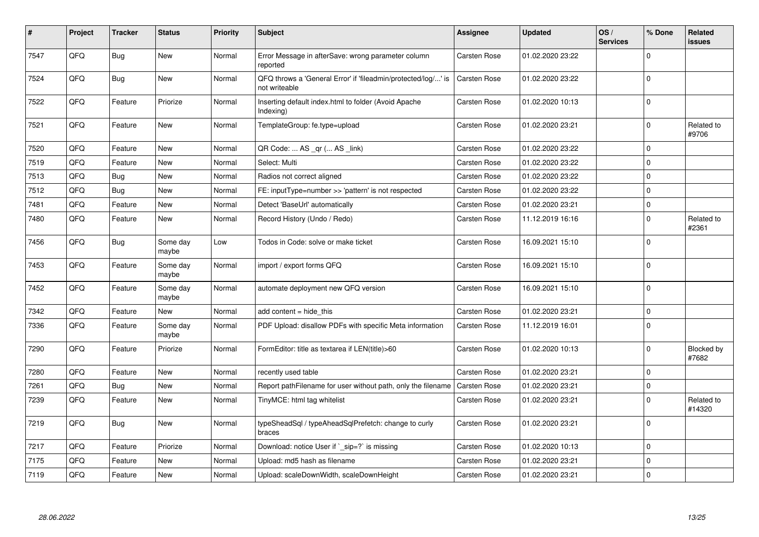| #    | Project | <b>Tracker</b> | <b>Status</b>     | <b>Priority</b> | <b>Subject</b>                                                                 | Assignee     | <b>Updated</b>   | OS/<br><b>Services</b> | % Done      | Related<br><b>issues</b> |
|------|---------|----------------|-------------------|-----------------|--------------------------------------------------------------------------------|--------------|------------------|------------------------|-------------|--------------------------|
| 7547 | QFQ     | Bug            | <b>New</b>        | Normal          | Error Message in afterSave: wrong parameter column<br>reported                 | Carsten Rose | 01.02.2020 23:22 |                        | $\Omega$    |                          |
| 7524 | QFQ     | Bug            | <b>New</b>        | Normal          | QFQ throws a 'General Error' if 'fileadmin/protected/log/' is<br>not writeable | Carsten Rose | 01.02.2020 23:22 |                        | $\Omega$    |                          |
| 7522 | QFQ     | Feature        | Priorize          | Normal          | Inserting default index.html to folder (Avoid Apache<br>Indexing)              | Carsten Rose | 01.02.2020 10:13 |                        | $\Omega$    |                          |
| 7521 | QFQ     | Feature        | <b>New</b>        | Normal          | TemplateGroup: fe.type=upload                                                  | Carsten Rose | 01.02.2020 23:21 |                        | $\Omega$    | Related to<br>#9706      |
| 7520 | QFQ     | Feature        | <b>New</b>        | Normal          | QR Code:  AS _qr ( AS _link)                                                   | Carsten Rose | 01.02.2020 23:22 |                        | $\Omega$    |                          |
| 7519 | QFQ     | Feature        | <b>New</b>        | Normal          | Select: Multi                                                                  | Carsten Rose | 01.02.2020 23:22 |                        | $\mathbf 0$ |                          |
| 7513 | QFQ     | Bug            | <b>New</b>        | Normal          | Radios not correct aligned                                                     | Carsten Rose | 01.02.2020 23:22 |                        | $\Omega$    |                          |
| 7512 | QFQ     | Bug            | <b>New</b>        | Normal          | FE: inputType=number >> 'pattern' is not respected                             | Carsten Rose | 01.02.2020 23:22 |                        | $\Omega$    |                          |
| 7481 | QFQ     | Feature        | <b>New</b>        | Normal          | Detect 'BaseUrl' automatically                                                 | Carsten Rose | 01.02.2020 23:21 |                        | $\Omega$    |                          |
| 7480 | QFQ     | Feature        | <b>New</b>        | Normal          | Record History (Undo / Redo)                                                   | Carsten Rose | 11.12.2019 16:16 |                        | $\Omega$    | Related to<br>#2361      |
| 7456 | QFQ     | Bug            | Some day<br>maybe | Low             | Todos in Code: solve or make ticket                                            | Carsten Rose | 16.09.2021 15:10 |                        | $\Omega$    |                          |
| 7453 | QFQ     | Feature        | Some day<br>maybe | Normal          | import / export forms QFQ                                                      | Carsten Rose | 16.09.2021 15:10 |                        | $\Omega$    |                          |
| 7452 | QFQ     | Feature        | Some day<br>maybe | Normal          | automate deployment new QFQ version                                            | Carsten Rose | 16.09.2021 15:10 |                        | $\Omega$    |                          |
| 7342 | QFQ     | Feature        | <b>New</b>        | Normal          | add content = hide_this                                                        | Carsten Rose | 01.02.2020 23:21 |                        | $\Omega$    |                          |
| 7336 | QFQ     | Feature        | Some day<br>maybe | Normal          | PDF Upload: disallow PDFs with specific Meta information                       | Carsten Rose | 11.12.2019 16:01 |                        | $\Omega$    |                          |
| 7290 | QFQ     | Feature        | Priorize          | Normal          | FormEditor: title as textarea if LEN(title)>60                                 | Carsten Rose | 01.02.2020 10:13 |                        | $\Omega$    | Blocked by<br>#7682      |
| 7280 | QFQ     | Feature        | <b>New</b>        | Normal          | recently used table                                                            | Carsten Rose | 01.02.2020 23:21 |                        | $\Omega$    |                          |
| 7261 | QFQ     | Bug            | <b>New</b>        | Normal          | Report pathFilename for user without path, only the filename                   | Carsten Rose | 01.02.2020 23:21 |                        | $\mathbf 0$ |                          |
| 7239 | QFQ     | Feature        | <b>New</b>        | Normal          | TinyMCE: html tag whitelist                                                    | Carsten Rose | 01.02.2020 23:21 |                        | $\Omega$    | Related to<br>#14320     |
| 7219 | QFQ     | <b>Bug</b>     | <b>New</b>        | Normal          | typeSheadSql / typeAheadSqlPrefetch: change to curly<br>braces                 | Carsten Rose | 01.02.2020 23:21 |                        | $\Omega$    |                          |
| 7217 | QFQ     | Feature        | Priorize          | Normal          | Download: notice User if `_sip=?` is missing                                   | Carsten Rose | 01.02.2020 10:13 |                        | $\Omega$    |                          |
| 7175 | QFQ     | Feature        | New               | Normal          | Upload: md5 hash as filename                                                   | Carsten Rose | 01.02.2020 23:21 |                        | $\mathbf 0$ |                          |
| 7119 | QFQ     | Feature        | <b>New</b>        | Normal          | Upload: scaleDownWidth, scaleDownHeight                                        | Carsten Rose | 01.02.2020 23:21 |                        | $\Omega$    |                          |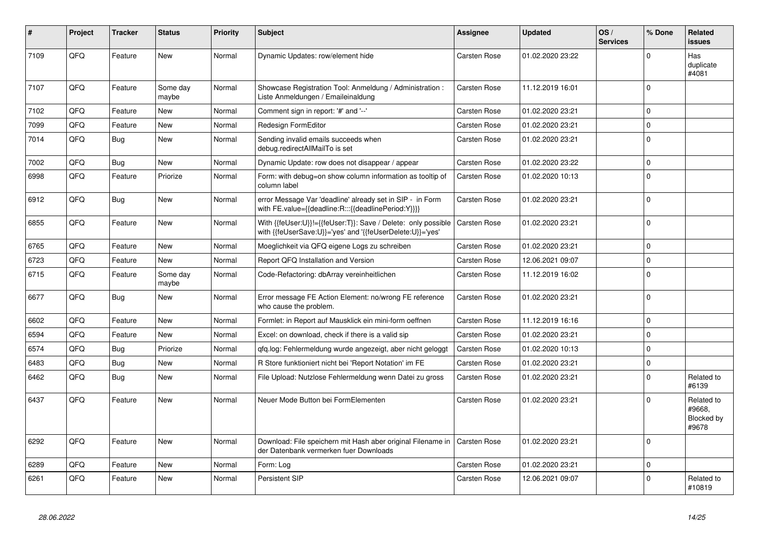| #    | <b>Project</b> | <b>Tracker</b> | <b>Status</b>     | <b>Priority</b> | <b>Subject</b>                                                                                                             | Assignee            | <b>Updated</b>   | OS/<br><b>Services</b> | % Done      | Related<br><b>issues</b>                    |
|------|----------------|----------------|-------------------|-----------------|----------------------------------------------------------------------------------------------------------------------------|---------------------|------------------|------------------------|-------------|---------------------------------------------|
| 7109 | QFQ            | Feature        | <b>New</b>        | Normal          | Dynamic Updates: row/element hide                                                                                          | Carsten Rose        | 01.02.2020 23:22 |                        | $\Omega$    | Has<br>duplicate<br>#4081                   |
| 7107 | QFQ            | Feature        | Some day<br>maybe | Normal          | Showcase Registration Tool: Anmeldung / Administration :<br>Liste Anmeldungen / Emaileinaldung                             | Carsten Rose        | 11.12.2019 16:01 |                        | $\Omega$    |                                             |
| 7102 | QFQ            | Feature        | New               | Normal          | Comment sign in report: '#' and '--'                                                                                       | Carsten Rose        | 01.02.2020 23:21 |                        | $\Omega$    |                                             |
| 7099 | QFQ            | Feature        | New               | Normal          | Redesign FormEditor                                                                                                        | Carsten Rose        | 01.02.2020 23:21 |                        | $\Omega$    |                                             |
| 7014 | QFQ            | Bug            | New               | Normal          | Sending invalid emails succeeds when<br>debug.redirectAllMailTo is set                                                     | Carsten Rose        | 01.02.2020 23:21 |                        | $\Omega$    |                                             |
| 7002 | QFQ            | <b>Bug</b>     | New               | Normal          | Dynamic Update: row does not disappear / appear                                                                            | Carsten Rose        | 01.02.2020 23:22 |                        | $\Omega$    |                                             |
| 6998 | QFQ            | Feature        | Priorize          | Normal          | Form: with debug=on show column information as tooltip of<br>column label                                                  | Carsten Rose        | 01.02.2020 10:13 |                        | $\Omega$    |                                             |
| 6912 | QFQ            | <b>Bug</b>     | New               | Normal          | error Message Var 'deadline' already set in SIP - in Form<br>with FE.value={{deadline:R:::{{deadlinePeriod:Y}}}}           | Carsten Rose        | 01.02.2020 23:21 |                        | $\Omega$    |                                             |
| 6855 | QFQ            | Feature        | <b>New</b>        | Normal          | With {{feUser:U}}!={{feUser:T}}: Save / Delete: only possible<br>with {{feUserSave:U}}='yes' and '{{feUserDelete:U}}='yes' | Carsten Rose        | 01.02.2020 23:21 |                        | $\Omega$    |                                             |
| 6765 | QFQ            | Feature        | New               | Normal          | Moeglichkeit via QFQ eigene Logs zu schreiben                                                                              | Carsten Rose        | 01.02.2020 23:21 |                        | $\Omega$    |                                             |
| 6723 | QFQ            | Feature        | New               | Normal          | Report QFQ Installation and Version                                                                                        | Carsten Rose        | 12.06.2021 09:07 |                        | $\mathbf 0$ |                                             |
| 6715 | QFQ            | Feature        | Some day<br>maybe | Normal          | Code-Refactoring: dbArray vereinheitlichen                                                                                 | Carsten Rose        | 11.12.2019 16:02 |                        | $\mathbf 0$ |                                             |
| 6677 | QFQ            | <b>Bug</b>     | New               | Normal          | Error message FE Action Element: no/wrong FE reference<br>who cause the problem.                                           | Carsten Rose        | 01.02.2020 23:21 |                        | $\Omega$    |                                             |
| 6602 | QFQ            | Feature        | <b>New</b>        | Normal          | Formlet: in Report auf Mausklick ein mini-form oeffnen                                                                     | Carsten Rose        | 11.12.2019 16:16 |                        | $\Omega$    |                                             |
| 6594 | QFQ            | Feature        | <b>New</b>        | Normal          | Excel: on download, check if there is a valid sip                                                                          | Carsten Rose        | 01.02.2020 23:21 |                        | $\Omega$    |                                             |
| 6574 | QFQ            | Bug            | Priorize          | Normal          | qfq.log: Fehlermeldung wurde angezeigt, aber nicht geloggt                                                                 | Carsten Rose        | 01.02.2020 10:13 |                        | $\Omega$    |                                             |
| 6483 | QFQ            | <b>Bug</b>     | New               | Normal          | R Store funktioniert nicht bei 'Report Notation' im FE                                                                     | Carsten Rose        | 01.02.2020 23:21 |                        | $\Omega$    |                                             |
| 6462 | QFQ            | <b>Bug</b>     | New               | Normal          | File Upload: Nutzlose Fehlermeldung wenn Datei zu gross                                                                    | Carsten Rose        | 01.02.2020 23:21 |                        | $\Omega$    | Related to<br>#6139                         |
| 6437 | QFQ            | Feature        | New               | Normal          | Neuer Mode Button bei FormElementen                                                                                        | Carsten Rose        | 01.02.2020 23:21 |                        | $\Omega$    | Related to<br>#9668.<br>Blocked by<br>#9678 |
| 6292 | QFQ            | Feature        | <b>New</b>        | Normal          | Download: File speichern mit Hash aber original Filename in<br>der Datenbank vermerken fuer Downloads                      | <b>Carsten Rose</b> | 01.02.2020 23:21 |                        | $\Omega$    |                                             |
| 6289 | QFQ            | Feature        | New               | Normal          | Form: Log                                                                                                                  | Carsten Rose        | 01.02.2020 23:21 |                        | $\mathbf 0$ |                                             |
| 6261 | QFQ            | Feature        | <b>New</b>        | Normal          | Persistent SIP                                                                                                             | Carsten Rose        | 12.06.2021 09:07 |                        | $\Omega$    | Related to<br>#10819                        |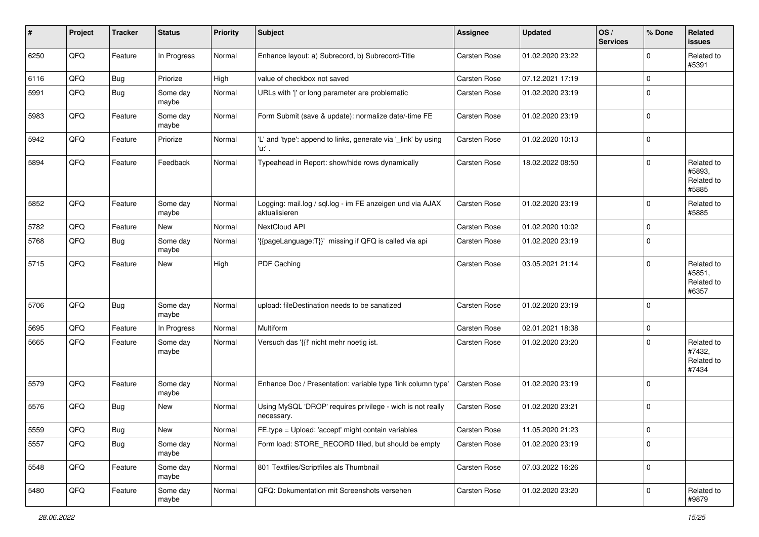| #    | Project | <b>Tracker</b> | <b>Status</b>     | <b>Priority</b> | <b>Subject</b>                                                             | <b>Assignee</b>     | <b>Updated</b>   | OS/<br><b>Services</b> | % Done      | Related<br><b>issues</b>                    |
|------|---------|----------------|-------------------|-----------------|----------------------------------------------------------------------------|---------------------|------------------|------------------------|-------------|---------------------------------------------|
| 6250 | QFQ     | Feature        | In Progress       | Normal          | Enhance layout: a) Subrecord, b) Subrecord-Title                           | Carsten Rose        | 01.02.2020 23:22 |                        | $\Omega$    | Related to<br>#5391                         |
| 6116 | QFQ     | <b>Bug</b>     | Priorize          | High            | value of checkbox not saved                                                | Carsten Rose        | 07.12.2021 17:19 |                        | $\mathbf 0$ |                                             |
| 5991 | QFQ     | <b>Bug</b>     | Some day<br>maybe | Normal          | URLs with ' ' or long parameter are problematic                            | Carsten Rose        | 01.02.2020 23:19 |                        | 0           |                                             |
| 5983 | QFQ     | Feature        | Some day<br>maybe | Normal          | Form Submit (save & update): normalize date/-time FE                       | Carsten Rose        | 01.02.2020 23:19 |                        | $\mathbf 0$ |                                             |
| 5942 | QFQ     | Feature        | Priorize          | Normal          | 'L' and 'type': append to links, generate via '_link' by using<br>'u:' .   | Carsten Rose        | 01.02.2020 10:13 |                        | $\Omega$    |                                             |
| 5894 | QFQ     | Feature        | Feedback          | Normal          | Typeahead in Report: show/hide rows dynamically                            | <b>Carsten Rose</b> | 18.02.2022 08:50 |                        | $\Omega$    | Related to<br>#5893,<br>Related to<br>#5885 |
| 5852 | QFQ     | Feature        | Some day<br>maybe | Normal          | Logging: mail.log / sql.log - im FE anzeigen und via AJAX<br>aktualisieren | Carsten Rose        | 01.02.2020 23:19 |                        | $\mathbf 0$ | Related to<br>#5885                         |
| 5782 | QFQ     | Feature        | New               | Normal          | NextCloud API                                                              | Carsten Rose        | 01.02.2020 10:02 |                        | $\Omega$    |                                             |
| 5768 | QFQ     | Bug            | Some day<br>maybe | Normal          | '{{pageLanguage:T}}' missing if QFQ is called via api                      | Carsten Rose        | 01.02.2020 23:19 |                        | 0           |                                             |
| 5715 | QFQ     | Feature        | New               | High            | PDF Caching                                                                | Carsten Rose        | 03.05.2021 21:14 |                        | $\Omega$    | Related to<br>#5851,<br>Related to<br>#6357 |
| 5706 | QFQ     | Bug            | Some day<br>maybe | Normal          | upload: fileDestination needs to be sanatized                              | <b>Carsten Rose</b> | 01.02.2020 23:19 |                        | $\mathbf 0$ |                                             |
| 5695 | QFQ     | Feature        | In Progress       | Normal          | Multiform                                                                  | Carsten Rose        | 02.01.2021 18:38 |                        | 0           |                                             |
| 5665 | QFQ     | Feature        | Some day<br>maybe | Normal          | Versuch das '{{!' nicht mehr noetig ist.                                   | Carsten Rose        | 01.02.2020 23:20 |                        | $\Omega$    | Related to<br>#7432,<br>Related to<br>#7434 |
| 5579 | QFQ     | Feature        | Some day<br>maybe | Normal          | Enhance Doc / Presentation: variable type 'link column type'               | Carsten Rose        | 01.02.2020 23:19 |                        | $\Omega$    |                                             |
| 5576 | QFQ     | <b>Bug</b>     | <b>New</b>        | Normal          | Using MySQL 'DROP' requires privilege - wich is not really<br>necessary.   | Carsten Rose        | 01.02.2020 23:21 |                        | 0           |                                             |
| 5559 | QFG     | <b>Bug</b>     | New               | Normal          | FE.type = Upload: 'accept' might contain variables                         | Carsten Rose        | 11.05.2020 21:23 |                        | $\pmb{0}$   |                                             |
| 5557 | QFQ     | <b>Bug</b>     | Some day<br>maybe | Normal          | Form load: STORE_RECORD filled, but should be empty                        | Carsten Rose        | 01.02.2020 23:19 |                        | $\mathbf 0$ |                                             |
| 5548 | QFO     | Feature        | Some day<br>maybe | Normal          | 801 Textfiles/Scriptfiles als Thumbnail                                    | Carsten Rose        | 07.03.2022 16:26 |                        | $\mathbf 0$ |                                             |
| 5480 | QFO     | Feature        | Some day<br>maybe | Normal          | QFQ: Dokumentation mit Screenshots versehen                                | Carsten Rose        | 01.02.2020 23:20 |                        | $\mathbf 0$ | Related to<br>#9879                         |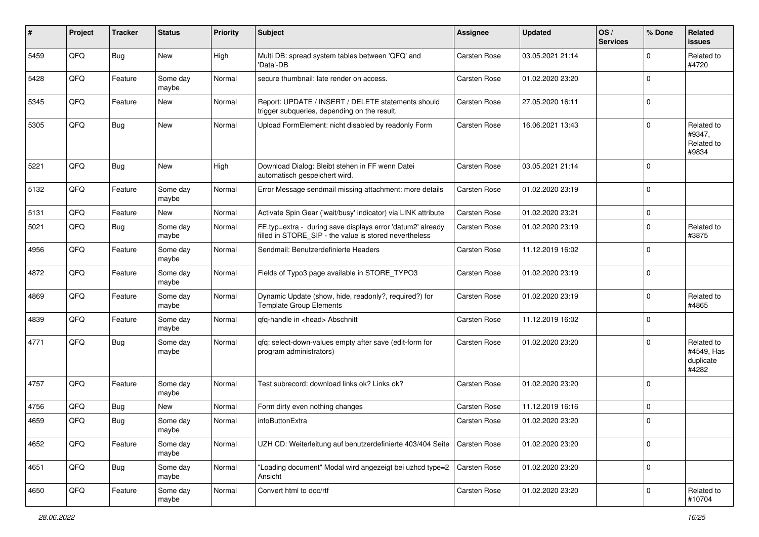| $\sharp$ | Project | <b>Tracker</b> | <b>Status</b>     | <b>Priority</b> | <b>Subject</b>                                                                                                       | <b>Assignee</b> | <b>Updated</b>   | OS/<br><b>Services</b> | % Done      | Related<br><b>issues</b>                       |
|----------|---------|----------------|-------------------|-----------------|----------------------------------------------------------------------------------------------------------------------|-----------------|------------------|------------------------|-------------|------------------------------------------------|
| 5459     | QFQ     | Bug            | New               | High            | Multi DB: spread system tables between 'QFQ' and<br>'Data'-DB                                                        | Carsten Rose    | 03.05.2021 21:14 |                        | $\mathbf 0$ | Related to<br>#4720                            |
| 5428     | QFQ     | Feature        | Some day<br>maybe | Normal          | secure thumbnail: late render on access.                                                                             | Carsten Rose    | 01.02.2020 23:20 |                        | $\mathbf 0$ |                                                |
| 5345     | QFQ     | Feature        | New               | Normal          | Report: UPDATE / INSERT / DELETE statements should<br>trigger subqueries, depending on the result.                   | Carsten Rose    | 27.05.2020 16:11 |                        | $\mathbf 0$ |                                                |
| 5305     | QFQ     | Bug            | New               | Normal          | Upload FormElement: nicht disabled by readonly Form                                                                  | Carsten Rose    | 16.06.2021 13:43 |                        | $\mathbf 0$ | Related to<br>#9347,<br>Related to<br>#9834    |
| 5221     | QFQ     | Bug            | New               | High            | Download Dialog: Bleibt stehen in FF wenn Datei<br>automatisch gespeichert wird.                                     | Carsten Rose    | 03.05.2021 21:14 |                        | $\mathbf 0$ |                                                |
| 5132     | QFQ     | Feature        | Some day<br>maybe | Normal          | Error Message sendmail missing attachment: more details                                                              | Carsten Rose    | 01.02.2020 23:19 |                        | $\mathbf 0$ |                                                |
| 5131     | QFQ     | Feature        | New               | Normal          | Activate Spin Gear ('wait/busy' indicator) via LINK attribute                                                        | Carsten Rose    | 01.02.2020 23:21 |                        | $\pmb{0}$   |                                                |
| 5021     | QFQ     | <b>Bug</b>     | Some day<br>maybe | Normal          | FE.typ=extra - during save displays error 'datum2' already<br>filled in STORE_SIP - the value is stored nevertheless | Carsten Rose    | 01.02.2020 23:19 |                        | $\mathbf 0$ | Related to<br>#3875                            |
| 4956     | QFQ     | Feature        | Some day<br>maybe | Normal          | Sendmail: Benutzerdefinierte Headers                                                                                 | Carsten Rose    | 11.12.2019 16:02 |                        | $\mathbf 0$ |                                                |
| 4872     | QFQ     | Feature        | Some day<br>maybe | Normal          | Fields of Typo3 page available in STORE_TYPO3                                                                        | Carsten Rose    | 01.02.2020 23:19 |                        | $\mathbf 0$ |                                                |
| 4869     | QFQ     | Feature        | Some day<br>maybe | Normal          | Dynamic Update (show, hide, readonly?, required?) for<br><b>Template Group Elements</b>                              | Carsten Rose    | 01.02.2020 23:19 |                        | $\mathbf 0$ | Related to<br>#4865                            |
| 4839     | QFQ     | Feature        | Some day<br>maybe | Normal          | qfq-handle in <head> Abschnitt</head>                                                                                | Carsten Rose    | 11.12.2019 16:02 |                        | $\mathbf 0$ |                                                |
| 4771     | QFQ     | Bug            | Some day<br>maybe | Normal          | qfq: select-down-values empty after save (edit-form for<br>program administrators)                                   | Carsten Rose    | 01.02.2020 23:20 |                        | $\mathbf 0$ | Related to<br>#4549, Has<br>duplicate<br>#4282 |
| 4757     | QFQ     | Feature        | Some day<br>maybe | Normal          | Test subrecord: download links ok? Links ok?                                                                         | Carsten Rose    | 01.02.2020 23:20 |                        | $\mathbf 0$ |                                                |
| 4756     | QFQ     | Bug            | New               | Normal          | Form dirty even nothing changes                                                                                      | Carsten Rose    | 11.12.2019 16:16 |                        | $\mathbf 0$ |                                                |
| 4659     | QFQ     | Bug            | Some day<br>maybe | Normal          | infoButtonExtra                                                                                                      | Carsten Rose    | 01.02.2020 23:20 |                        | $\mathbf 0$ |                                                |
| 4652     | QFQ     | Feature        | Some day<br>maybe | Normal          | UZH CD: Weiterleitung auf benutzerdefinierte 403/404 Seite                                                           | Carsten Rose    | 01.02.2020 23:20 |                        | $\mathbf 0$ |                                                |
| 4651     | QFO     | <b>Bug</b>     | Some day<br>maybe | Normal          | "Loading document" Modal wird angezeigt bei uzhcd type=2<br>Ansicht                                                  | Carsten Rose    | 01.02.2020 23:20 |                        | $\mathbf 0$ |                                                |
| 4650     | QFQ     | Feature        | Some day<br>maybe | Normal          | Convert html to doc/rtf                                                                                              | Carsten Rose    | 01.02.2020 23:20 |                        | $\mathbf 0$ | Related to<br>#10704                           |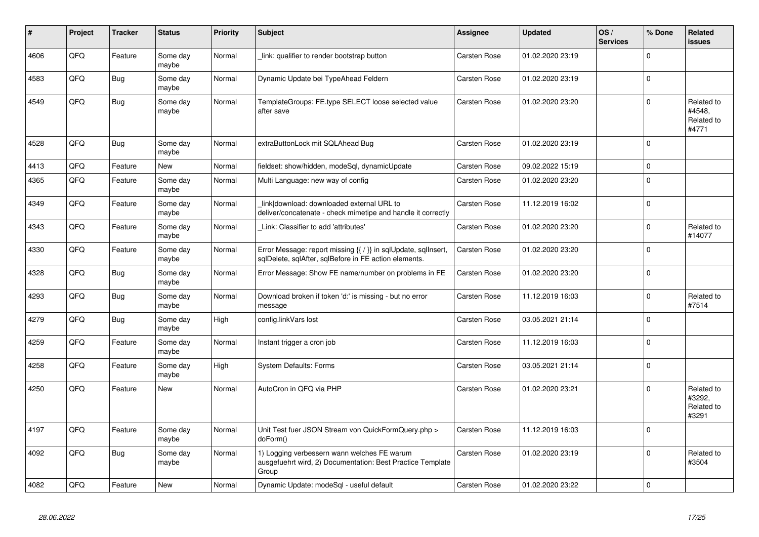| ∦    | Project | <b>Tracker</b> | <b>Status</b>     | <b>Priority</b> | <b>Subject</b>                                                                                                          | Assignee            | <b>Updated</b>   | OS/<br><b>Services</b> | % Done      | <b>Related</b><br><b>issues</b>             |
|------|---------|----------------|-------------------|-----------------|-------------------------------------------------------------------------------------------------------------------------|---------------------|------------------|------------------------|-------------|---------------------------------------------|
| 4606 | QFQ     | Feature        | Some day<br>maybe | Normal          | link: qualifier to render bootstrap button                                                                              | Carsten Rose        | 01.02.2020 23:19 |                        | $\mathbf 0$ |                                             |
| 4583 | QFQ     | <b>Bug</b>     | Some day<br>maybe | Normal          | Dynamic Update bei TypeAhead Feldern                                                                                    | Carsten Rose        | 01.02.2020 23:19 |                        | $\mathsf 0$ |                                             |
| 4549 | QFQ     | <b>Bug</b>     | Some day<br>maybe | Normal          | TemplateGroups: FE.type SELECT loose selected value<br>after save                                                       | Carsten Rose        | 01.02.2020 23:20 |                        | $\mathbf 0$ | Related to<br>#4548.<br>Related to<br>#4771 |
| 4528 | QFQ     | <b>Bug</b>     | Some day<br>maybe | Normal          | extraButtonLock mit SQLAhead Bug                                                                                        | <b>Carsten Rose</b> | 01.02.2020 23:19 |                        | $\mathbf 0$ |                                             |
| 4413 | QFQ     | Feature        | <b>New</b>        | Normal          | fieldset: show/hidden, modeSql, dynamicUpdate                                                                           | <b>Carsten Rose</b> | 09.02.2022 15:19 |                        | $\mathbf 0$ |                                             |
| 4365 | QFQ     | Feature        | Some day<br>maybe | Normal          | Multi Language: new way of config                                                                                       | <b>Carsten Rose</b> | 01.02.2020 23:20 |                        | $\mathbf 0$ |                                             |
| 4349 | QFQ     | Feature        | Some day<br>maybe | Normal          | link download: downloaded external URL to<br>deliver/concatenate - check mimetipe and handle it correctly               | Carsten Rose        | 11.12.2019 16:02 |                        | $\mathsf 0$ |                                             |
| 4343 | QFQ     | Feature        | Some day<br>maybe | Normal          | Link: Classifier to add 'attributes'                                                                                    | Carsten Rose        | 01.02.2020 23:20 |                        | $\pmb{0}$   | Related to<br>#14077                        |
| 4330 | QFQ     | Feature        | Some day<br>maybe | Normal          | Error Message: report missing {{ / }} in sqlUpdate, sqlInsert,<br>sqlDelete, sqlAfter, sqlBefore in FE action elements. | Carsten Rose        | 01.02.2020 23:20 |                        | $\mathbf 0$ |                                             |
| 4328 | QFQ     | Bug            | Some day<br>maybe | Normal          | Error Message: Show FE name/number on problems in FE                                                                    | Carsten Rose        | 01.02.2020 23:20 |                        | $\pmb{0}$   |                                             |
| 4293 | QFQ     | <b>Bug</b>     | Some day<br>maybe | Normal          | Download broken if token 'd:' is missing - but no error<br>message                                                      | <b>Carsten Rose</b> | 11.12.2019 16:03 |                        | $\mathsf 0$ | Related to<br>#7514                         |
| 4279 | QFQ     | <b>Bug</b>     | Some day<br>maybe | High            | config.linkVars lost                                                                                                    | Carsten Rose        | 03.05.2021 21:14 |                        | $\mathbf 0$ |                                             |
| 4259 | QFQ     | Feature        | Some day<br>maybe | Normal          | Instant trigger a cron job                                                                                              | <b>Carsten Rose</b> | 11.12.2019 16:03 |                        | $\mathbf 0$ |                                             |
| 4258 | QFQ     | Feature        | Some day<br>maybe | High            | System Defaults: Forms                                                                                                  | Carsten Rose        | 03.05.2021 21:14 |                        | $\mathsf 0$ |                                             |
| 4250 | QFQ     | Feature        | <b>New</b>        | Normal          | AutoCron in QFQ via PHP                                                                                                 | Carsten Rose        | 01.02.2020 23:21 |                        | $\mathbf 0$ | Related to<br>#3292,<br>Related to<br>#3291 |
| 4197 | QFQ     | Feature        | Some day<br>maybe | Normal          | Unit Test fuer JSON Stream von QuickFormQuery.php ><br>doForm()                                                         | Carsten Rose        | 11.12.2019 16:03 |                        | $\mathbf 0$ |                                             |
| 4092 | QFQ     | <b>Bug</b>     | Some day<br>maybe | Normal          | 1) Logging verbessern wann welches FE warum<br>ausgefuehrt wird, 2) Documentation: Best Practice Template<br>Group      | Carsten Rose        | 01.02.2020 23:19 |                        | $\Omega$    | Related to<br>#3504                         |
| 4082 | QFQ     | Feature        | <b>New</b>        | Normal          | Dynamic Update: modeSql - useful default                                                                                | Carsten Rose        | 01.02.2020 23:22 |                        | $\mathbf 0$ |                                             |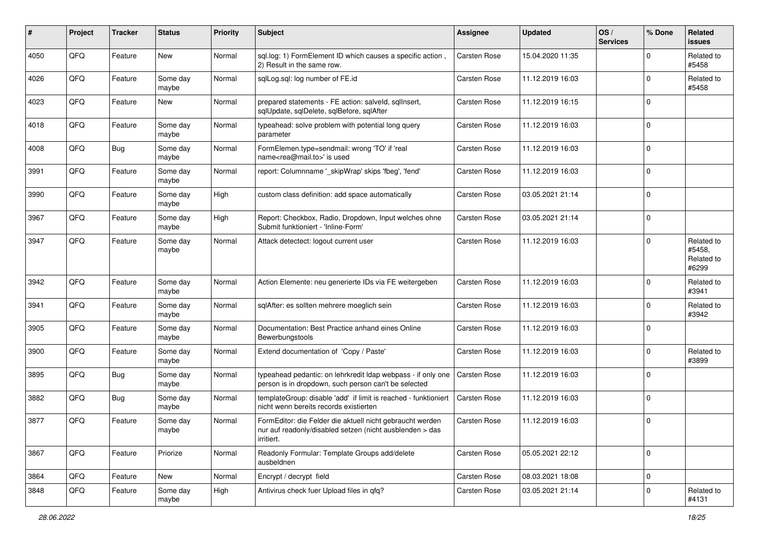| $\#$ | Project | <b>Tracker</b> | <b>Status</b>     | <b>Priority</b> | <b>Subject</b>                                                                                                                      | <b>Assignee</b> | <b>Updated</b>   | OS/<br><b>Services</b> | % Done      | Related<br><b>issues</b>                    |
|------|---------|----------------|-------------------|-----------------|-------------------------------------------------------------------------------------------------------------------------------------|-----------------|------------------|------------------------|-------------|---------------------------------------------|
| 4050 | QFQ     | Feature        | <b>New</b>        | Normal          | sql.log: 1) FormElement ID which causes a specific action,<br>2) Result in the same row.                                            | Carsten Rose    | 15.04.2020 11:35 |                        | $\Omega$    | Related to<br>#5458                         |
| 4026 | QFQ     | Feature        | Some day<br>maybe | Normal          | sglLog.sgl: log number of FE.id                                                                                                     | Carsten Rose    | 11.12.2019 16:03 |                        | $\mathbf 0$ | Related to<br>#5458                         |
| 4023 | QFQ     | Feature        | New               | Normal          | prepared statements - FE action: salveld, sqllnsert,<br>sqlUpdate, sqlDelete, sqlBefore, sqlAfter                                   | Carsten Rose    | 11.12.2019 16:15 |                        | $\Omega$    |                                             |
| 4018 | QFQ     | Feature        | Some day<br>maybe | Normal          | typeahead: solve problem with potential long query<br>parameter                                                                     | Carsten Rose    | 11.12.2019 16:03 |                        | $\Omega$    |                                             |
| 4008 | QFQ     | Bug            | Some day<br>maybe | Normal          | FormElemen.type=sendmail: wrong 'TO' if 'real<br>name <rea@mail.to>' is used</rea@mail.to>                                          | Carsten Rose    | 11.12.2019 16:03 |                        | $\Omega$    |                                             |
| 3991 | QFQ     | Feature        | Some day<br>maybe | Normal          | report: Columnname '_skipWrap' skips 'fbeg', 'fend'                                                                                 | Carsten Rose    | 11.12.2019 16:03 |                        | $\Omega$    |                                             |
| 3990 | QFQ     | Feature        | Some day<br>maybe | High            | custom class definition: add space automatically                                                                                    | Carsten Rose    | 03.05.2021 21:14 |                        | $\Omega$    |                                             |
| 3967 | QFQ     | Feature        | Some day<br>maybe | High            | Report: Checkbox, Radio, Dropdown, Input welches ohne<br>Submit funktioniert - 'Inline-Form'                                        | Carsten Rose    | 03.05.2021 21:14 |                        | $\mathbf 0$ |                                             |
| 3947 | QFQ     | Feature        | Some day<br>maybe | Normal          | Attack detectect: logout current user                                                                                               | Carsten Rose    | 11.12.2019 16:03 |                        | $\Omega$    | Related to<br>#5458,<br>Related to<br>#6299 |
| 3942 | QFQ     | Feature        | Some day<br>maybe | Normal          | Action Elemente: neu generierte IDs via FE weitergeben                                                                              | Carsten Rose    | 11.12.2019 16:03 |                        | $\Omega$    | Related to<br>#3941                         |
| 3941 | QFQ     | Feature        | Some day<br>maybe | Normal          | sqlAfter: es sollten mehrere moeglich sein                                                                                          | Carsten Rose    | 11.12.2019 16:03 |                        | $\Omega$    | Related to<br>#3942                         |
| 3905 | QFQ     | Feature        | Some day<br>maybe | Normal          | Documentation: Best Practice anhand eines Online<br>Bewerbungstools                                                                 | Carsten Rose    | 11.12.2019 16:03 |                        | $\Omega$    |                                             |
| 3900 | QFQ     | Feature        | Some day<br>maybe | Normal          | Extend documentation of 'Copy / Paste'                                                                                              | Carsten Rose    | 11.12.2019 16:03 |                        | $\Omega$    | Related to<br>#3899                         |
| 3895 | QFQ     | Bug            | Some day<br>maybe | Normal          | typeahead pedantic: on lehrkredit Idap webpass - if only one<br>person is in dropdown, such person can't be selected                | Carsten Rose    | 11.12.2019 16:03 |                        | $\Omega$    |                                             |
| 3882 | QFQ     | Bug            | Some day<br>maybe | Normal          | templateGroup: disable 'add' if limit is reached - funktioniert<br>nicht wenn bereits records existierten                           | Carsten Rose    | 11.12.2019 16:03 |                        | $\Omega$    |                                             |
| 3877 | QFQ     | Feature        | Some day<br>maybe | Normal          | FormEditor: die Felder die aktuell nicht gebraucht werden<br>nur auf readonly/disabled setzen (nicht ausblenden > das<br>irritiert. | Carsten Rose    | 11.12.2019 16:03 |                        | $\Omega$    |                                             |
| 3867 | QFQ     | Feature        | Priorize          | Normal          | Readonly Formular: Template Groups add/delete<br>ausbeldnen                                                                         | Carsten Rose    | 05.05.2021 22:12 |                        | $\mathbf 0$ |                                             |
| 3864 | QFQ     | Feature        | New               | Normal          | Encrypt / decrypt field                                                                                                             | Carsten Rose    | 08.03.2021 18:08 |                        | $\mathbf 0$ |                                             |
| 3848 | QFQ     | Feature        | Some day<br>maybe | High            | Antivirus check fuer Upload files in qfq?                                                                                           | Carsten Rose    | 03.05.2021 21:14 |                        | $\mathbf 0$ | Related to<br>#4131                         |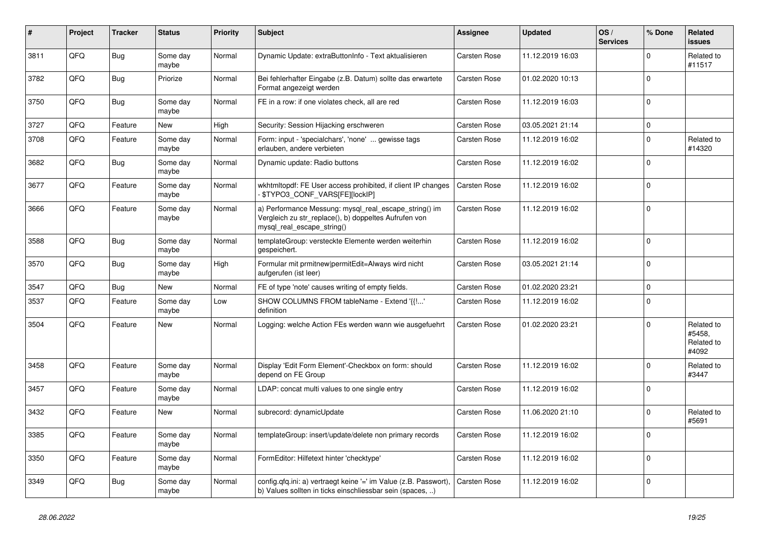| $\vert$ # | Project | <b>Tracker</b> | <b>Status</b>     | <b>Priority</b> | <b>Subject</b>                                                                                                                               | Assignee            | <b>Updated</b>   | OS/<br><b>Services</b> | % Done      | Related<br><b>issues</b>                    |
|-----------|---------|----------------|-------------------|-----------------|----------------------------------------------------------------------------------------------------------------------------------------------|---------------------|------------------|------------------------|-------------|---------------------------------------------|
| 3811      | QFQ     | <b>Bug</b>     | Some day<br>maybe | Normal          | Dynamic Update: extraButtonInfo - Text aktualisieren                                                                                         | Carsten Rose        | 11.12.2019 16:03 |                        | $\Omega$    | Related to<br>#11517                        |
| 3782      | QFQ     | Bug            | Priorize          | Normal          | Bei fehlerhafter Eingabe (z.B. Datum) sollte das erwartete<br>Format angezeigt werden                                                        | Carsten Rose        | 01.02.2020 10:13 |                        | $\Omega$    |                                             |
| 3750      | QFQ     | Bug            | Some day<br>maybe | Normal          | FE in a row: if one violates check, all are red                                                                                              | Carsten Rose        | 11.12.2019 16:03 |                        | $\Omega$    |                                             |
| 3727      | QFQ     | Feature        | <b>New</b>        | High            | Security: Session Hijacking erschweren                                                                                                       | <b>Carsten Rose</b> | 03.05.2021 21:14 |                        | $\mathbf 0$ |                                             |
| 3708      | QFQ     | Feature        | Some day<br>maybe | Normal          | Form: input - 'specialchars', 'none'  gewisse tags<br>erlauben, andere verbieten                                                             | Carsten Rose        | 11.12.2019 16:02 |                        | $\Omega$    | Related to<br>#14320                        |
| 3682      | QFQ     | <b>Bug</b>     | Some day<br>maybe | Normal          | Dynamic update: Radio buttons                                                                                                                | Carsten Rose        | 11.12.2019 16:02 |                        | $\Omega$    |                                             |
| 3677      | QFQ     | Feature        | Some day<br>maybe | Normal          | wkhtmltopdf: FE User access prohibited, if client IP changes<br>\$TYPO3_CONF_VARS[FE][lockIP]                                                | Carsten Rose        | 11.12.2019 16:02 |                        | $\Omega$    |                                             |
| 3666      | QFQ     | Feature        | Some day<br>maybe | Normal          | a) Performance Messung: mysql_real_escape_string() im<br>Vergleich zu str_replace(), b) doppeltes Aufrufen von<br>mysql real escape string() | Carsten Rose        | 11.12.2019 16:02 |                        | $\Omega$    |                                             |
| 3588      | QFQ     | <b>Bug</b>     | Some day<br>maybe | Normal          | templateGroup: versteckte Elemente werden weiterhin<br>gespeichert.                                                                          | Carsten Rose        | 11.12.2019 16:02 |                        | $\Omega$    |                                             |
| 3570      | QFQ     | Bug            | Some day<br>maybe | High            | Formular mit prmitnew permitEdit=Always wird nicht<br>aufgerufen (ist leer)                                                                  | Carsten Rose        | 03.05.2021 21:14 |                        | $\Omega$    |                                             |
| 3547      | QFQ     | Bug            | New               | Normal          | FE of type 'note' causes writing of empty fields.                                                                                            | Carsten Rose        | 01.02.2020 23:21 |                        | $\mathbf 0$ |                                             |
| 3537      | QFQ     | Feature        | Some day<br>maybe | Low             | SHOW COLUMNS FROM tableName - Extend '{{!'<br>definition                                                                                     | Carsten Rose        | 11.12.2019 16:02 |                        | $\mathbf 0$ |                                             |
| 3504      | QFQ     | Feature        | New               | Normal          | Logging: welche Action FEs werden wann wie ausgefuehrt                                                                                       | Carsten Rose        | 01.02.2020 23:21 |                        | $\Omega$    | Related to<br>#5458,<br>Related to<br>#4092 |
| 3458      | QFQ     | Feature        | Some day<br>maybe | Normal          | Display 'Edit Form Element'-Checkbox on form: should<br>depend on FE Group                                                                   | Carsten Rose        | 11.12.2019 16:02 |                        | $\Omega$    | Related to<br>#3447                         |
| 3457      | QFQ     | Feature        | Some day<br>maybe | Normal          | LDAP: concat multi values to one single entry                                                                                                | Carsten Rose        | 11.12.2019 16:02 |                        | $\Omega$    |                                             |
| 3432      | QFQ     | Feature        | <b>New</b>        | Normal          | subrecord: dynamicUpdate                                                                                                                     | Carsten Rose        | 11.06.2020 21:10 |                        | $\Omega$    | Related to<br>#5691                         |
| 3385      | QFQ     | Feature        | Some day<br>maybe | Normal          | templateGroup: insert/update/delete non primary records                                                                                      | Carsten Rose        | 11.12.2019 16:02 |                        | $\Omega$    |                                             |
| 3350      | QFQ     | Feature        | Some day<br>maybe | Normal          | FormEditor: Hilfetext hinter 'checktype'                                                                                                     | Carsten Rose        | 11.12.2019 16:02 |                        | $\Omega$    |                                             |
| 3349      | QFQ     | <b>Bug</b>     | Some day<br>maybe | Normal          | config.qfq.ini: a) vertraegt keine '=' im Value (z.B. Passwort),<br>b) Values sollten in ticks einschliessbar sein (spaces, )                | Carsten Rose        | 11.12.2019 16:02 |                        | $\Omega$    |                                             |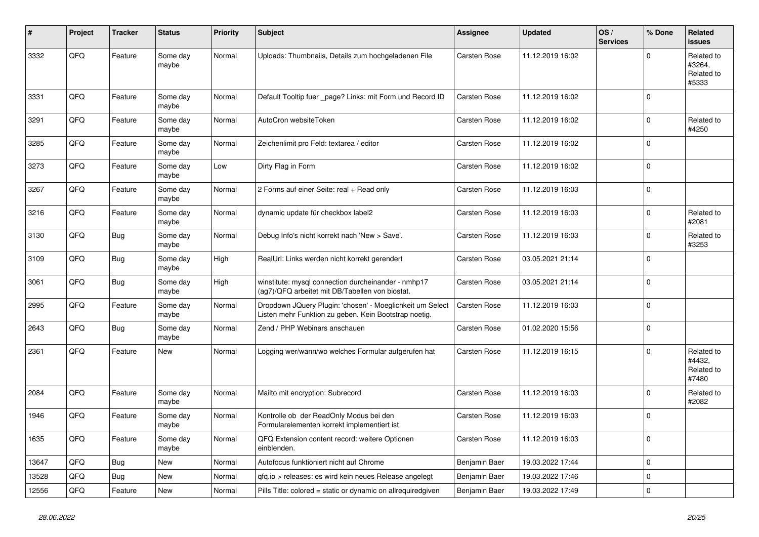| #     | Project | <b>Tracker</b> | <b>Status</b>     | <b>Priority</b> | <b>Subject</b>                                                                                                     | Assignee            | <b>Updated</b>   | OS/<br><b>Services</b> | % Done      | Related<br><b>issues</b>                    |
|-------|---------|----------------|-------------------|-----------------|--------------------------------------------------------------------------------------------------------------------|---------------------|------------------|------------------------|-------------|---------------------------------------------|
| 3332  | QFQ     | Feature        | Some day<br>maybe | Normal          | Uploads: Thumbnails, Details zum hochgeladenen File                                                                | Carsten Rose        | 11.12.2019 16:02 |                        | $\Omega$    | Related to<br>#3264,<br>Related to<br>#5333 |
| 3331  | QFQ     | Feature        | Some day<br>maybe | Normal          | Default Tooltip fuer page? Links: mit Form und Record ID                                                           | <b>Carsten Rose</b> | 11.12.2019 16:02 |                        | $\mathbf 0$ |                                             |
| 3291  | QFQ     | Feature        | Some day<br>maybe | Normal          | AutoCron websiteToken                                                                                              | Carsten Rose        | 11.12.2019 16:02 |                        | $\mathbf 0$ | Related to<br>#4250                         |
| 3285  | QFQ     | Feature        | Some day<br>maybe | Normal          | Zeichenlimit pro Feld: textarea / editor                                                                           | Carsten Rose        | 11.12.2019 16:02 |                        | $\Omega$    |                                             |
| 3273  | QFQ     | Feature        | Some day<br>maybe | Low             | Dirty Flag in Form                                                                                                 | Carsten Rose        | 11.12.2019 16:02 |                        | $\mathbf 0$ |                                             |
| 3267  | QFQ     | Feature        | Some day<br>maybe | Normal          | 2 Forms auf einer Seite: real + Read only                                                                          | Carsten Rose        | 11.12.2019 16:03 |                        | $\mathbf 0$ |                                             |
| 3216  | QFQ     | Feature        | Some day<br>maybe | Normal          | dynamic update für checkbox label2                                                                                 | Carsten Rose        | 11.12.2019 16:03 |                        | $\mathbf 0$ | Related to<br>#2081                         |
| 3130  | QFQ     | <b>Bug</b>     | Some day<br>maybe | Normal          | Debug Info's nicht korrekt nach 'New > Save'.                                                                      | <b>Carsten Rose</b> | 11.12.2019 16:03 |                        | $\mathbf 0$ | Related to<br>#3253                         |
| 3109  | QFQ     | <b>Bug</b>     | Some day<br>maybe | High            | RealUrl: Links werden nicht korrekt gerendert                                                                      | Carsten Rose        | 03.05.2021 21:14 |                        | $\Omega$    |                                             |
| 3061  | QFQ     | <b>Bug</b>     | Some day<br>maybe | High            | winstitute: mysql connection durcheinander - nmhp17<br>(ag7)/QFQ arbeitet mit DB/Tabellen von biostat.             | Carsten Rose        | 03.05.2021 21:14 |                        | $\mathbf 0$ |                                             |
| 2995  | QFQ     | Feature        | Some day<br>maybe | Normal          | Dropdown JQuery Plugin: 'chosen' - Moeglichkeit um Select<br>Listen mehr Funktion zu geben. Kein Bootstrap noetig. | <b>Carsten Rose</b> | 11.12.2019 16:03 |                        | $\mathbf 0$ |                                             |
| 2643  | QFQ     | <b>Bug</b>     | Some day<br>maybe | Normal          | Zend / PHP Webinars anschauen                                                                                      | Carsten Rose        | 01.02.2020 15:56 |                        | $\mathbf 0$ |                                             |
| 2361  | QFQ     | Feature        | New               | Normal          | Logging wer/wann/wo welches Formular aufgerufen hat                                                                | Carsten Rose        | 11.12.2019 16:15 |                        | $\mathbf 0$ | Related to<br>#4432,<br>Related to<br>#7480 |
| 2084  | QFQ     | Feature        | Some day<br>maybe | Normal          | Mailto mit encryption: Subrecord                                                                                   | Carsten Rose        | 11.12.2019 16:03 |                        | $\mathbf 0$ | Related to<br>#2082                         |
| 1946  | QFQ     | Feature        | Some day<br>maybe | Normal          | Kontrolle ob der ReadOnly Modus bei den<br>Formularelementen korrekt implementiert ist                             | <b>Carsten Rose</b> | 11.12.2019 16:03 |                        | $\mathbf 0$ |                                             |
| 1635  | QFQ     | Feature        | Some day<br>maybe | Normal          | QFQ Extension content record: weitere Optionen<br>einblenden.                                                      | Carsten Rose        | 11.12.2019 16:03 |                        | $\mathbf 0$ |                                             |
| 13647 | QFQ     | <b>Bug</b>     | <b>New</b>        | Normal          | Autofocus funktioniert nicht auf Chrome                                                                            | Benjamin Baer       | 19.03.2022 17:44 |                        | $\mathbf 0$ |                                             |
| 13528 | QFQ     | <b>Bug</b>     | New               | Normal          | gfg.io > releases: es wird kein neues Release angelegt                                                             | Benjamin Baer       | 19.03.2022 17:46 |                        | $\mathbf 0$ |                                             |
| 12556 | QFQ     | Feature        | New               | Normal          | Pills Title: colored = static or dynamic on allrequiredgiven                                                       | Benjamin Baer       | 19.03.2022 17:49 |                        | $\mathbf 0$ |                                             |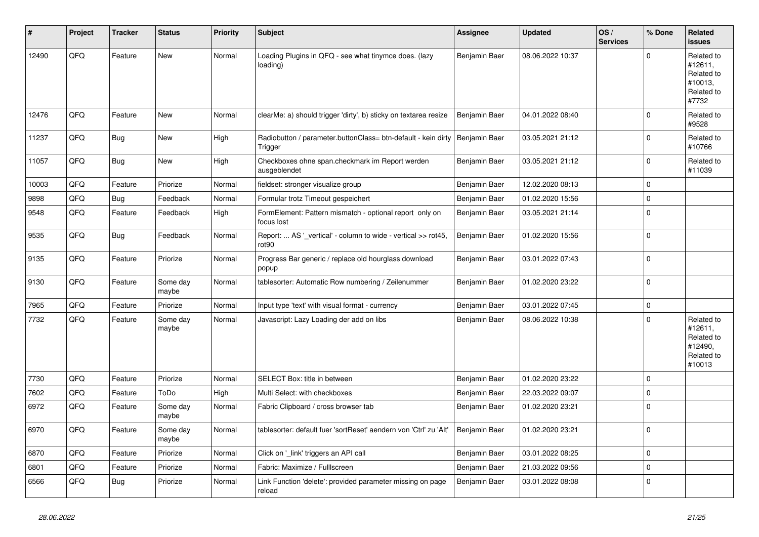| #     | Project | <b>Tracker</b> | <b>Status</b>     | <b>Priority</b> | <b>Subject</b>                                                           | Assignee      | <b>Updated</b>   | OS/<br><b>Services</b> | % Done      | Related<br><b>issues</b>                                               |
|-------|---------|----------------|-------------------|-----------------|--------------------------------------------------------------------------|---------------|------------------|------------------------|-------------|------------------------------------------------------------------------|
| 12490 | QFQ     | Feature        | <b>New</b>        | Normal          | Loading Plugins in QFQ - see what tinymce does. (lazy<br>loading)        | Benjamin Baer | 08.06.2022 10:37 |                        | $\mathbf 0$ | Related to<br>#12611,<br>Related to<br>#10013,<br>Related to<br>#7732  |
| 12476 | QFQ     | Feature        | New               | Normal          | clearMe: a) should trigger 'dirty', b) sticky on textarea resize         | Benjamin Baer | 04.01.2022 08:40 |                        | $\mathbf 0$ | Related to<br>#9528                                                    |
| 11237 | QFQ     | Bug            | <b>New</b>        | High            | Radiobutton / parameter.buttonClass= btn-default - kein dirty<br>Trigger | Benjamin Baer | 03.05.2021 21:12 |                        | $\mathbf 0$ | Related to<br>#10766                                                   |
| 11057 | QFQ     | Bug            | <b>New</b>        | High            | Checkboxes ohne span.checkmark im Report werden<br>ausgeblendet          | Benjamin Baer | 03.05.2021 21:12 |                        | $\mathbf 0$ | Related to<br>#11039                                                   |
| 10003 | QFQ     | Feature        | Priorize          | Normal          | fieldset: stronger visualize group                                       | Benjamin Baer | 12.02.2020 08:13 |                        | $\pmb{0}$   |                                                                        |
| 9898  | QFQ     | <b>Bug</b>     | Feedback          | Normal          | Formular trotz Timeout gespeichert                                       | Benjamin Baer | 01.02.2020 15:56 |                        | $\mathsf 0$ |                                                                        |
| 9548  | QFQ     | Feature        | Feedback          | High            | FormElement: Pattern mismatch - optional report only on<br>focus lost    | Benjamin Baer | 03.05.2021 21:14 |                        | $\pmb{0}$   |                                                                        |
| 9535  | QFQ     | <b>Bug</b>     | Feedback          | Normal          | Report:  AS '_vertical' - column to wide - vertical >> rot45,<br>rot90   | Benjamin Baer | 01.02.2020 15:56 |                        | $\mathsf 0$ |                                                                        |
| 9135  | QFQ     | Feature        | Priorize          | Normal          | Progress Bar generic / replace old hourglass download<br>popup           | Benjamin Baer | 03.01.2022 07:43 |                        | $\Omega$    |                                                                        |
| 9130  | QFQ     | Feature        | Some day<br>maybe | Normal          | tablesorter: Automatic Row numbering / Zeilenummer                       | Benjamin Baer | 01.02.2020 23:22 |                        | $\mathbf 0$ |                                                                        |
| 7965  | QFQ     | Feature        | Priorize          | Normal          | Input type 'text' with visual format - currency                          | Benjamin Baer | 03.01.2022 07:45 |                        | $\mathsf 0$ |                                                                        |
| 7732  | QFQ     | Feature        | Some day<br>maybe | Normal          | Javascript: Lazy Loading der add on libs                                 | Benjamin Baer | 08.06.2022 10:38 |                        | $\mathbf 0$ | Related to<br>#12611,<br>Related to<br>#12490,<br>Related to<br>#10013 |
| 7730  | QFQ     | Feature        | Priorize          | Normal          | SELECT Box: title in between                                             | Benjamin Baer | 01.02.2020 23:22 |                        | $\mathbf 0$ |                                                                        |
| 7602  | QFQ     | Feature        | ToDo              | High            | Multi Select: with checkboxes                                            | Benjamin Baer | 22.03.2022 09:07 |                        | $\mathbf 0$ |                                                                        |
| 6972  | QFQ     | Feature        | Some day<br>maybe | Normal          | Fabric Clipboard / cross browser tab                                     | Benjamin Baer | 01.02.2020 23:21 |                        | $\mathbf 0$ |                                                                        |
| 6970  | QFQ     | Feature        | Some day<br>maybe | Normal          | tablesorter: default fuer 'sortReset' aendern von 'Ctrl' zu 'Alt'        | Benjamin Baer | 01.02.2020 23:21 |                        | $\mathbf 0$ |                                                                        |
| 6870  | QFQ     | Feature        | Priorize          | Normal          | Click on '_link' triggers an API call                                    | Benjamin Baer | 03.01.2022 08:25 |                        | $\mathsf 0$ |                                                                        |
| 6801  | QFQ     | Feature        | Priorize          | Normal          | Fabric: Maximize / FullIscreen                                           | Benjamin Baer | 21.03.2022 09:56 |                        | $\pmb{0}$   |                                                                        |
| 6566  | QFQ     | <b>Bug</b>     | Priorize          | Normal          | Link Function 'delete': provided parameter missing on page<br>reload     | Benjamin Baer | 03.01.2022 08:08 |                        | $\mathbf 0$ |                                                                        |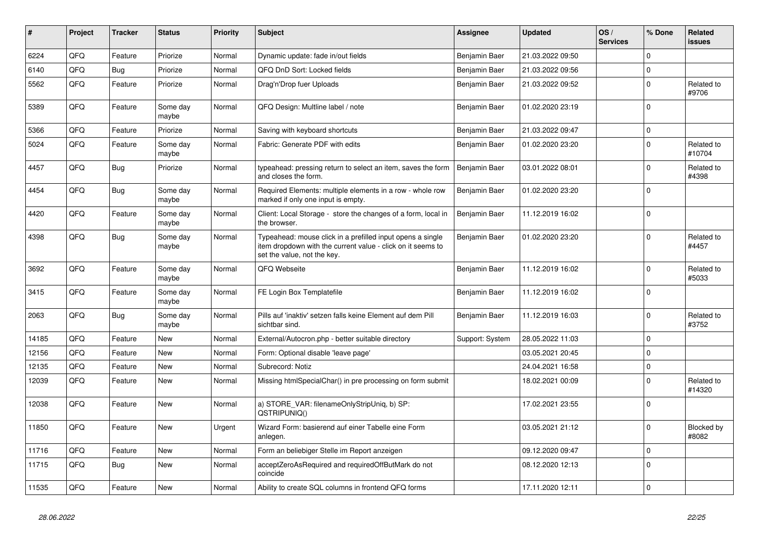| #     | Project | <b>Tracker</b> | <b>Status</b>     | <b>Priority</b> | <b>Subject</b>                                                                                                                                           | Assignee        | <b>Updated</b>   | OS/<br><b>Services</b> | % Done      | <b>Related</b><br><b>issues</b> |
|-------|---------|----------------|-------------------|-----------------|----------------------------------------------------------------------------------------------------------------------------------------------------------|-----------------|------------------|------------------------|-------------|---------------------------------|
| 6224  | QFQ     | Feature        | Priorize          | Normal          | Dynamic update: fade in/out fields                                                                                                                       | Benjamin Baer   | 21.03.2022 09:50 |                        | $\Omega$    |                                 |
| 6140  | QFQ     | <b>Bug</b>     | Priorize          | Normal          | QFQ DnD Sort: Locked fields                                                                                                                              | Benjamin Baer   | 21.03.2022 09:56 |                        | $\mathbf 0$ |                                 |
| 5562  | QFQ     | Feature        | Priorize          | Normal          | Drag'n'Drop fuer Uploads                                                                                                                                 | Benjamin Baer   | 21.03.2022 09:52 |                        | $\mathbf 0$ | Related to<br>#9706             |
| 5389  | QFQ     | Feature        | Some day<br>maybe | Normal          | QFQ Design: Multline label / note                                                                                                                        | Benjamin Baer   | 01.02.2020 23:19 |                        | $\mathbf 0$ |                                 |
| 5366  | QFQ     | Feature        | Priorize          | Normal          | Saving with keyboard shortcuts                                                                                                                           | Benjamin Baer   | 21.03.2022 09:47 |                        | $\mathsf 0$ |                                 |
| 5024  | QFQ     | Feature        | Some day<br>maybe | Normal          | Fabric: Generate PDF with edits                                                                                                                          | Benjamin Baer   | 01.02.2020 23:20 |                        | $\mathbf 0$ | Related to<br>#10704            |
| 4457  | QFQ     | Bug            | Priorize          | Normal          | typeahead: pressing return to select an item, saves the form<br>and closes the form.                                                                     | Benjamin Baer   | 03.01.2022 08:01 |                        | $\mathsf 0$ | Related to<br>#4398             |
| 4454  | QFQ     | Bug            | Some day<br>maybe | Normal          | Required Elements: multiple elements in a row - whole row<br>marked if only one input is empty.                                                          | Benjamin Baer   | 01.02.2020 23:20 |                        | $\mathbf 0$ |                                 |
| 4420  | QFQ     | Feature        | Some day<br>maybe | Normal          | Client: Local Storage - store the changes of a form, local in<br>the browser.                                                                            | Benjamin Baer   | 11.12.2019 16:02 |                        | $\mathbf 0$ |                                 |
| 4398  | QFQ     | <b>Bug</b>     | Some day<br>maybe | Normal          | Typeahead: mouse click in a prefilled input opens a single<br>item dropdown with the current value - click on it seems to<br>set the value, not the key. | Benjamin Baer   | 01.02.2020 23:20 |                        | $\pmb{0}$   | Related to<br>#4457             |
| 3692  | QFQ     | Feature        | Some day<br>maybe | Normal          | QFQ Webseite                                                                                                                                             | Benjamin Baer   | 11.12.2019 16:02 |                        | $\mathbf 0$ | Related to<br>#5033             |
| 3415  | QFQ     | Feature        | Some day<br>maybe | Normal          | FE Login Box Templatefile                                                                                                                                | Benjamin Baer   | 11.12.2019 16:02 |                        | $\mathbf 0$ |                                 |
| 2063  | QFQ     | Bug            | Some day<br>maybe | Normal          | Pills auf 'inaktiv' setzen falls keine Element auf dem Pill<br>sichtbar sind.                                                                            | Benjamin Baer   | 11.12.2019 16:03 |                        | $\Omega$    | Related to<br>#3752             |
| 14185 | QFQ     | Feature        | <b>New</b>        | Normal          | External/Autocron.php - better suitable directory                                                                                                        | Support: System | 28.05.2022 11:03 |                        | $\Omega$    |                                 |
| 12156 | QFQ     | Feature        | <b>New</b>        | Normal          | Form: Optional disable 'leave page'                                                                                                                      |                 | 03.05.2021 20:45 |                        | $\Omega$    |                                 |
| 12135 | QFQ     | Feature        | <b>New</b>        | Normal          | Subrecord: Notiz                                                                                                                                         |                 | 24.04.2021 16:58 |                        | $\mathbf 0$ |                                 |
| 12039 | QFQ     | Feature        | <b>New</b>        | Normal          | Missing htmlSpecialChar() in pre processing on form submit                                                                                               |                 | 18.02.2021 00:09 |                        | $\mathbf 0$ | Related to<br>#14320            |
| 12038 | QFQ     | Feature        | New               | Normal          | a) STORE_VAR: filenameOnlyStripUniq, b) SP:<br>QSTRIPUNIQ()                                                                                              |                 | 17.02.2021 23:55 |                        | $\mathbf 0$ |                                 |
| 11850 | QFQ     | Feature        | New               | Urgent          | Wizard Form: basierend auf einer Tabelle eine Form<br>anlegen.                                                                                           |                 | 03.05.2021 21:12 |                        | $\Omega$    | Blocked by<br>#8082             |
| 11716 | QFQ     | Feature        | New               | Normal          | Form an beliebiger Stelle im Report anzeigen                                                                                                             |                 | 09.12.2020 09:47 |                        | $\mathbf 0$ |                                 |
| 11715 | QFQ     | <b>Bug</b>     | New               | Normal          | acceptZeroAsRequired and requiredOffButMark do not<br>coincide                                                                                           |                 | 08.12.2020 12:13 |                        | $\pmb{0}$   |                                 |
| 11535 | QFQ     | Feature        | <b>New</b>        | Normal          | Ability to create SQL columns in frontend QFQ forms                                                                                                      |                 | 17.11.2020 12:11 |                        | $\mathbf 0$ |                                 |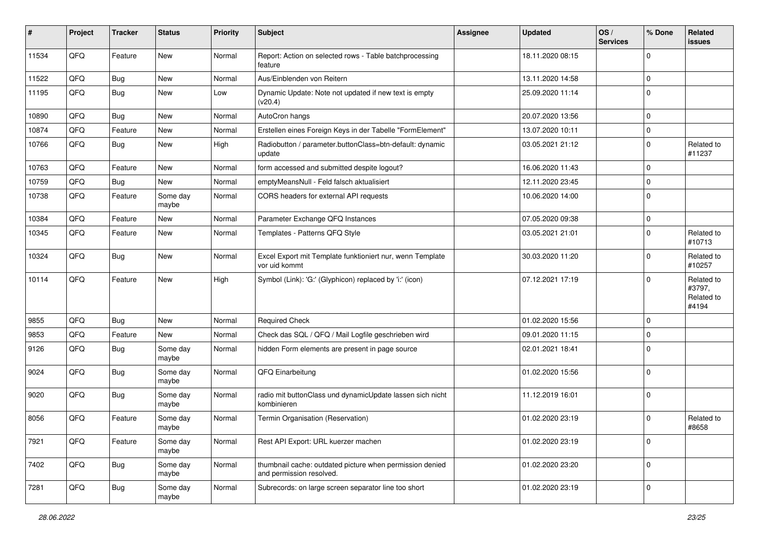| #     | Project | <b>Tracker</b> | <b>Status</b>     | <b>Priority</b> | <b>Subject</b>                                                                       | <b>Assignee</b> | <b>Updated</b>   | OS/<br><b>Services</b> | % Done      | Related<br>issues                           |
|-------|---------|----------------|-------------------|-----------------|--------------------------------------------------------------------------------------|-----------------|------------------|------------------------|-------------|---------------------------------------------|
| 11534 | QFQ     | Feature        | New               | Normal          | Report: Action on selected rows - Table batchprocessing<br>feature                   |                 | 18.11.2020 08:15 |                        | 0           |                                             |
| 11522 | QFQ     | Bug            | New               | Normal          | Aus/Einblenden von Reitern                                                           |                 | 13.11.2020 14:58 |                        | $\mathbf 0$ |                                             |
| 11195 | QFQ     | Bug            | <b>New</b>        | Low             | Dynamic Update: Note not updated if new text is empty<br>(v20.4)                     |                 | 25.09.2020 11:14 |                        | $\Omega$    |                                             |
| 10890 | QFQ     | Bug            | <b>New</b>        | Normal          | AutoCron hangs                                                                       |                 | 20.07.2020 13:56 |                        | $\Omega$    |                                             |
| 10874 | QFQ     | Feature        | <b>New</b>        | Normal          | Erstellen eines Foreign Keys in der Tabelle "FormElement"                            |                 | 13.07.2020 10:11 |                        | $\mathbf 0$ |                                             |
| 10766 | QFQ     | <b>Bug</b>     | <b>New</b>        | High            | Radiobutton / parameter.buttonClass=btn-default: dynamic<br>update                   |                 | 03.05.2021 21:12 |                        | $\Omega$    | Related to<br>#11237                        |
| 10763 | QFQ     | Feature        | <b>New</b>        | Normal          | form accessed and submitted despite logout?                                          |                 | 16.06.2020 11:43 |                        | $\mathbf 0$ |                                             |
| 10759 | QFQ     | Bug            | <b>New</b>        | Normal          | emptyMeansNull - Feld falsch aktualisiert                                            |                 | 12.11.2020 23:45 |                        | $\Omega$    |                                             |
| 10738 | QFQ     | Feature        | Some day<br>maybe | Normal          | CORS headers for external API requests                                               |                 | 10.06.2020 14:00 |                        | $\Omega$    |                                             |
| 10384 | QFQ     | Feature        | <b>New</b>        | Normal          | Parameter Exchange QFQ Instances                                                     |                 | 07.05.2020 09:38 |                        | $\mathbf 0$ |                                             |
| 10345 | QFQ     | Feature        | <b>New</b>        | Normal          | Templates - Patterns QFQ Style                                                       |                 | 03.05.2021 21:01 |                        | $\mathbf 0$ | Related to<br>#10713                        |
| 10324 | QFQ     | Bug            | New               | Normal          | Excel Export mit Template funktioniert nur, wenn Template<br>vor uid kommt           |                 | 30.03.2020 11:20 |                        | $\Omega$    | Related to<br>#10257                        |
| 10114 | QFQ     | Feature        | New               | High            | Symbol (Link): 'G:' (Glyphicon) replaced by 'i:' (icon)                              |                 | 07.12.2021 17:19 |                        | $\Omega$    | Related to<br>#3797,<br>Related to<br>#4194 |
| 9855  | QFQ     | Bug            | <b>New</b>        | Normal          | <b>Required Check</b>                                                                |                 | 01.02.2020 15:56 |                        | $\mathbf 0$ |                                             |
| 9853  | QFQ     | Feature        | <b>New</b>        | Normal          | Check das SQL / QFQ / Mail Logfile geschrieben wird                                  |                 | 09.01.2020 11:15 |                        | $\Omega$    |                                             |
| 9126  | QFQ     | <b>Bug</b>     | Some day<br>maybe | Normal          | hidden Form elements are present in page source                                      |                 | 02.01.2021 18:41 |                        | $\mathbf 0$ |                                             |
| 9024  | QFQ     | <b>Bug</b>     | Some day<br>maybe | Normal          | QFQ Einarbeitung                                                                     |                 | 01.02.2020 15:56 |                        | $\Omega$    |                                             |
| 9020  | QFQ     | <b>Bug</b>     | Some day<br>maybe | Normal          | radio mit buttonClass und dynamicUpdate lassen sich nicht<br>kombinieren             |                 | 11.12.2019 16:01 |                        | $\mathbf 0$ |                                             |
| 8056  | QFQ     | Feature        | Some day<br>maybe | Normal          | Termin Organisation (Reservation)                                                    |                 | 01.02.2020 23:19 |                        | $\mathbf 0$ | Related to<br>#8658                         |
| 7921  | QFQ     | Feature        | Some day<br>maybe | Normal          | Rest API Export: URL kuerzer machen                                                  |                 | 01.02.2020 23:19 |                        | $\mathbf 0$ |                                             |
| 7402  | QFQ     | Bug            | Some day<br>maybe | Normal          | thumbnail cache: outdated picture when permission denied<br>and permission resolved. |                 | 01.02.2020 23:20 |                        | 0           |                                             |
| 7281  | QFQ     | Bug            | Some day<br>maybe | Normal          | Subrecords: on large screen separator line too short                                 |                 | 01.02.2020 23:19 |                        | 0           |                                             |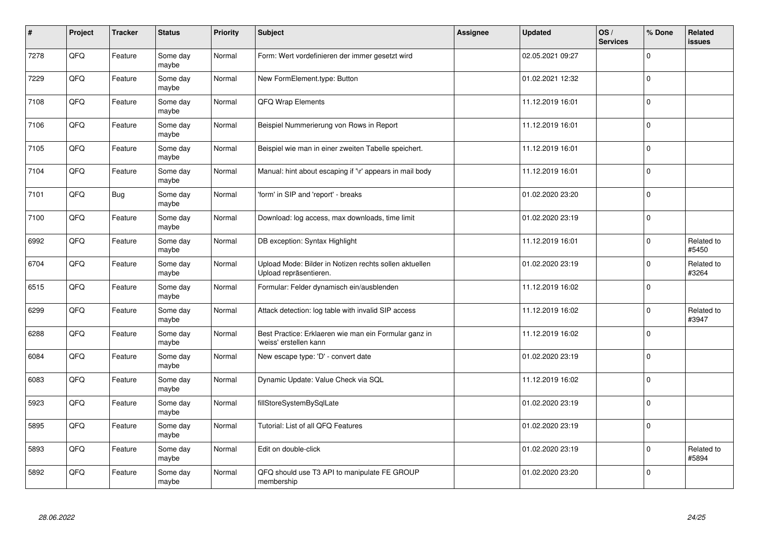| $\sharp$ | Project | <b>Tracker</b> | <b>Status</b>     | Priority | <b>Subject</b>                                                                   | <b>Assignee</b> | <b>Updated</b>   | OS/<br><b>Services</b> | % Done      | Related<br><b>issues</b> |
|----------|---------|----------------|-------------------|----------|----------------------------------------------------------------------------------|-----------------|------------------|------------------------|-------------|--------------------------|
| 7278     | QFQ     | Feature        | Some day<br>maybe | Normal   | Form: Wert vordefinieren der immer gesetzt wird                                  |                 | 02.05.2021 09:27 |                        | $\Omega$    |                          |
| 7229     | QFQ     | Feature        | Some day<br>maybe | Normal   | New FormElement.type: Button                                                     |                 | 01.02.2021 12:32 |                        | $\Omega$    |                          |
| 7108     | QFQ     | Feature        | Some day<br>maybe | Normal   | QFQ Wrap Elements                                                                |                 | 11.12.2019 16:01 |                        | 0           |                          |
| 7106     | QFQ     | Feature        | Some day<br>maybe | Normal   | Beispiel Nummerierung von Rows in Report                                         |                 | 11.12.2019 16:01 |                        | $\Omega$    |                          |
| 7105     | QFQ     | Feature        | Some day<br>maybe | Normal   | Beispiel wie man in einer zweiten Tabelle speichert.                             |                 | 11.12.2019 16:01 |                        | $\mathbf 0$ |                          |
| 7104     | QFQ     | Feature        | Some day<br>maybe | Normal   | Manual: hint about escaping if '\r' appears in mail body                         |                 | 11.12.2019 16:01 |                        | $\mathbf 0$ |                          |
| 7101     | QFQ     | <b>Bug</b>     | Some day<br>maybe | Normal   | 'form' in SIP and 'report' - breaks                                              |                 | 01.02.2020 23:20 |                        | $\Omega$    |                          |
| 7100     | QFQ     | Feature        | Some day<br>maybe | Normal   | Download: log access, max downloads, time limit                                  |                 | 01.02.2020 23:19 |                        | $\Omega$    |                          |
| 6992     | QFQ     | Feature        | Some day<br>maybe | Normal   | DB exception: Syntax Highlight                                                   |                 | 11.12.2019 16:01 |                        | $\Omega$    | Related to<br>#5450      |
| 6704     | QFQ     | Feature        | Some day<br>maybe | Normal   | Upload Mode: Bilder in Notizen rechts sollen aktuellen<br>Upload repräsentieren. |                 | 01.02.2020 23:19 |                        | $\Omega$    | Related to<br>#3264      |
| 6515     | QFQ     | Feature        | Some day<br>maybe | Normal   | Formular: Felder dynamisch ein/ausblenden                                        |                 | 11.12.2019 16:02 |                        | $\Omega$    |                          |
| 6299     | QFQ     | Feature        | Some day<br>maybe | Normal   | Attack detection: log table with invalid SIP access                              |                 | 11.12.2019 16:02 |                        | $\Omega$    | Related to<br>#3947      |
| 6288     | QFQ     | Feature        | Some day<br>maybe | Normal   | Best Practice: Erklaeren wie man ein Formular ganz in<br>'weiss' erstellen kann  |                 | 11.12.2019 16:02 |                        | $\mathbf 0$ |                          |
| 6084     | QFQ     | Feature        | Some day<br>maybe | Normal   | New escape type: 'D' - convert date                                              |                 | 01.02.2020 23:19 |                        | $\Omega$    |                          |
| 6083     | QFQ     | Feature        | Some day<br>maybe | Normal   | Dynamic Update: Value Check via SQL                                              |                 | 11.12.2019 16:02 |                        | $\Omega$    |                          |
| 5923     | QFQ     | Feature        | Some day<br>maybe | Normal   | fillStoreSystemBySqlLate                                                         |                 | 01.02.2020 23:19 |                        | $\Omega$    |                          |
| 5895     | QFQ     | Feature        | Some day<br>maybe | Normal   | Tutorial: List of all QFQ Features                                               |                 | 01.02.2020 23:19 |                        | $\mathbf 0$ |                          |
| 5893     | QFQ     | Feature        | Some day<br>maybe | Normal   | Edit on double-click                                                             |                 | 01.02.2020 23:19 |                        | $\Omega$    | Related to<br>#5894      |
| 5892     | QFQ     | Feature        | Some day<br>maybe | Normal   | QFQ should use T3 API to manipulate FE GROUP<br>membership                       |                 | 01.02.2020 23:20 |                        | $\Omega$    |                          |